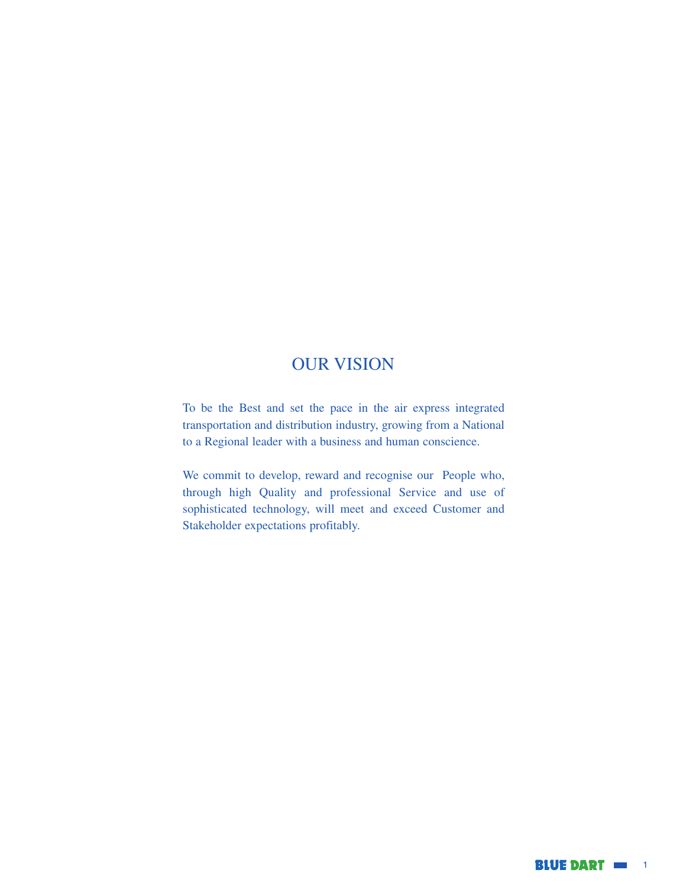# OUR VISION

To be the Best and set the pace in the air express integrated transportation and distribution industry, growing from a National to a Regional leader with a business and human conscience.

We commit to develop, reward and recognise our People who, through high Quality and professional Service and use of sophisticated technology, will meet and exceed Customer and Stakeholder expectations profitably.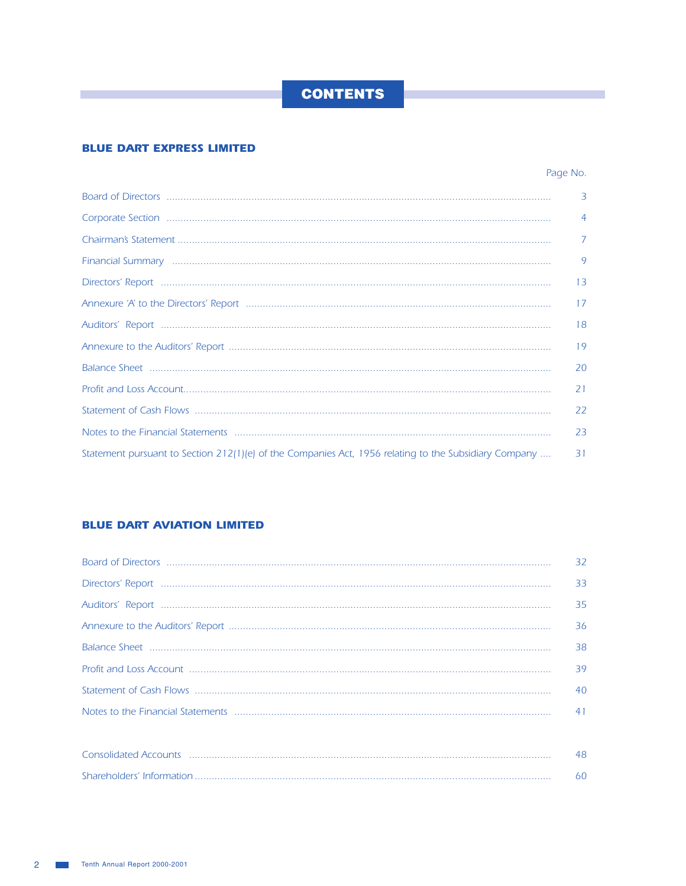## **BLUE DART EXPRESS LIMITED**

T.

## Page No.

|                                                                                                                | $\overline{3}$ |
|----------------------------------------------------------------------------------------------------------------|----------------|
| Corporate Section <b>William Corporate Section Manufacture Corporate Section Manufacture Corporate Section</b> | $\overline{4}$ |
|                                                                                                                | $\overline{7}$ |
| Financial Summary <b>and Communication Communication</b> Communication Communication Communication             | $\mathsf{Q}$   |
|                                                                                                                | 13             |
|                                                                                                                | 17             |
|                                                                                                                | 18             |
|                                                                                                                | 19             |
|                                                                                                                | 20             |
|                                                                                                                | 21             |
|                                                                                                                | 22             |
|                                                                                                                | 23             |
| Statement pursuant to Section 212(1)(e) of the Companies Act, 1956 relating to the Subsidiary Company          | 31             |

## **BLUE DART AVIATION LIMITED**

| 32 |
|----|
| 33 |
| 35 |
| 36 |
| 38 |
| 39 |
| 40 |
| 41 |
|    |

| <b>Consolidated Accounts</b> |  |  |
|------------------------------|--|--|
| Shareholders' Information    |  |  |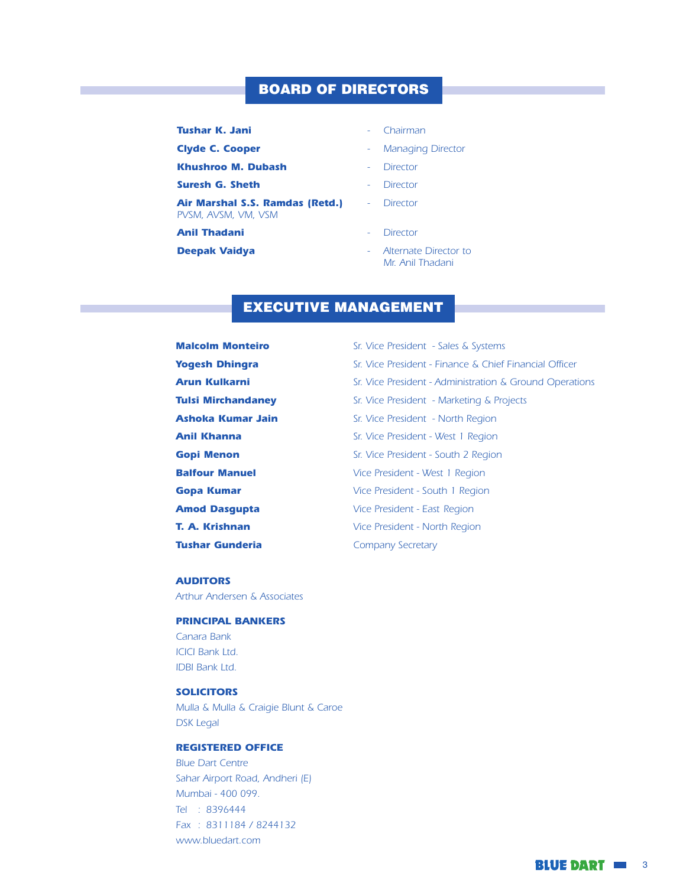## **BOARD OF DIRECTORS**

#### **Tushar K. Jani**

**Clyde C. Cooper** 

**Khushroo M. Dubash** 

Suresh G. Sheth

Air Marshal S.S. Ramdas (Retd.) PVSM, AVSM, VM, VSM

#### **Anil Thadani**

**Deepak Vaidya** 

- Chairman  $\sim$  .
- **Managing Director**  $\sim 10^{-1}$
- **Director**
- **Director**
- Director
- Director
- Alternate Director to Mr. Anil Thadani

## **EXECUTIVE MANAGEMENT**

**Malcolm Monteiro** Sr. Vice President - Sales & Systems **Yogesh Dhingra** Sr. Vice President - Finance & Chief Financial Officer **Arun Kulkarni** Sr. Vice President - Administration & Ground Operations **Tulsi Mirchandaney** Sr. Vice President - Marketing & Projects **Ashoka Kumar Jain** Sr. Vice President - North Region **Anil Khanna** Sr. Vice President - West 1 Region **Gopi Menon** Sr. Vice President - South 2 Region **Balfour Manuel** Vice President - West 1 Region **Gopa Kumar** Vice President - South 1 Region **Amod Dasgupta** Vice President - East Region T. A. Krishnan Vice President - North Region **Tushar Gunderia Company Secretary** 

#### **AUDITORS**

Arthur Andersen & Associates

#### **PRINCIPAL BANKERS**

Canara Bank **ICICI Bank Ltd. IDBI Bank Ltd.** 

#### **SOLICITORS**

Mulla & Mulla & Craigie Blunt & Caroe **DSK Legal** 

#### **REGISTERED OFFICE**

**Blue Dart Centre** Sahar Airport Road, Andheri (E) Mumbai - 400 099. Tel : 8396444 Fax: 8311184 / 8244132 www.bluedart.com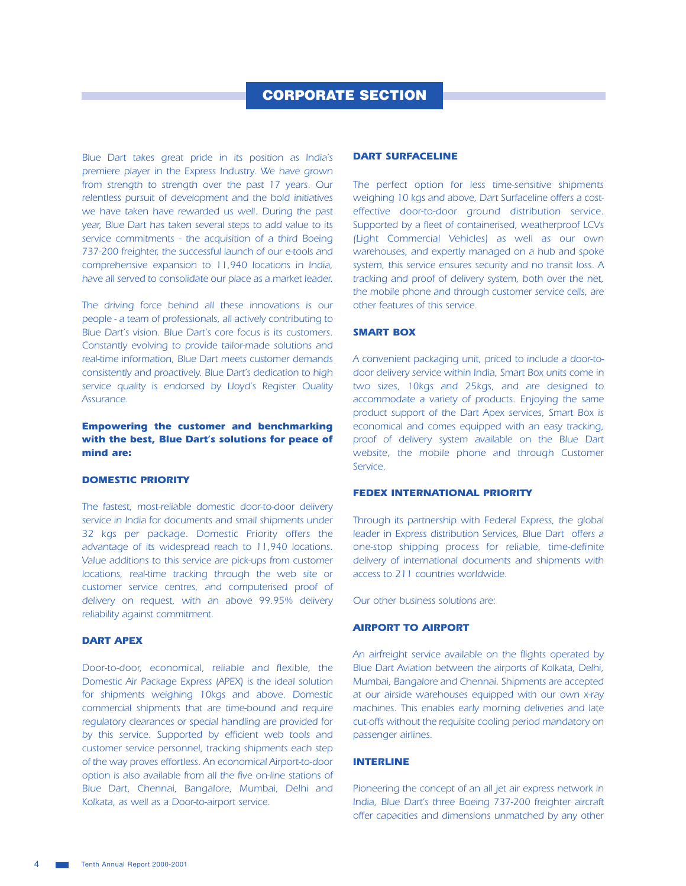Blue Dart takes great pride in its position as India's premiere player in the Express Industry. We have grown from strength to strength over the past 17 years. Our relentless pursuit of development and the bold initiatives we have taken have rewarded us well. During the past year, Blue Dart has taken several steps to add value to its service commitments - the acquisition of a third Boeing 737-200 freighter, the successful launch of our e-tools and comprehensive expansion to 11,940 locations in India, have all served to consolidate our place as a market leader.

The driving force behind all these innovations is our people - a team of professionals, all actively contributing to Blue Dart's vision. Blue Dart's core focus is its customers. Constantly evolving to provide tailor-made solutions and real-time information, Blue Dart meets customer demands consistently and proactively. Blue Dart's dedication to high service quality is endorsed by Lloyd's Register Quality Assurance.

#### **Empowering the customer and benchmarking** with the best, Blue Dart's solutions for peace of mind are:

#### **DOMESTIC PRIORITY**

The fastest, most-reliable domestic door-to-door delivery service in India for documents and small shipments under 32 kgs per package. Domestic Priority offers the advantage of its widespread reach to 11,940 locations. Value additions to this service are pick-ups from customer locations, real-time tracking through the web site or customer service centres, and computerised proof of delivery on request, with an above 99.95% delivery reliability against commitment.

#### **DART APEX**

Door-to-door, economical, reliable and flexible, the Domestic Air Package Express (APEX) is the ideal solution for shipments weighing 10kgs and above. Domestic commercial shipments that are time-bound and require requlatory clearances or special handling are provided for by this service. Supported by efficient web tools and customer service personnel, tracking shipments each step of the way proves effortless. An economical Airport-to-door option is also available from all the five on-line stations of Blue Dart, Chennai, Bangalore, Mumbai, Delhi and Kolkata, as well as a Door-to-airport service.

#### **DART SURFACELINE**

The perfect option for less time-sensitive shipments weighing 10 kgs and above, Dart Surfaceline offers a costeffective door-to-door ground distribution service. Supported by a fleet of containerised, weatherproof LCVs (Light Commercial Vehicles) as well as our own warehouses, and expertly managed on a hub and spoke system, this service ensures security and no transit loss. A tracking and proof of delivery system, both over the net, the mobile phone and through customer service cells, are other features of this service.

#### **SMART BOX**

A convenient packaging unit, priced to include a door-todoor delivery service within India, Smart Box units come in two sizes, 10kgs and 25kgs, and are designed to accommodate a variety of products. Enjoying the same product support of the Dart Apex services, Smart Box is economical and comes equipped with an easy tracking, proof of delivery system available on the Blue Dart website, the mobile phone and through Customer Service.

#### **FEDEX INTERNATIONAL PRIORITY**

Through its partnership with Federal Express, the global leader in Express distribution Services, Blue Dart offers a one-stop shipping process for reliable, time-definite delivery of international documents and shipments with access to 211 countries worldwide.

Our other business solutions are:

#### **AIRPORT TO AIRPORT**

An airfreight service available on the flights operated by Blue Dart Aviation between the airports of Kolkata, Delhi, Mumbai, Bangalore and Chennai. Shipments are accepted at our airside warehouses equipped with our own x-ray machines. This enables early morning deliveries and late cut-offs without the requisite cooling period mandatory on passenger airlines.

#### **INTERLINE**

Pioneering the concept of an all jet air express network in India, Blue Dart's three Boeing 737-200 freighter aircraft offer capacities and dimensions unmatched by any other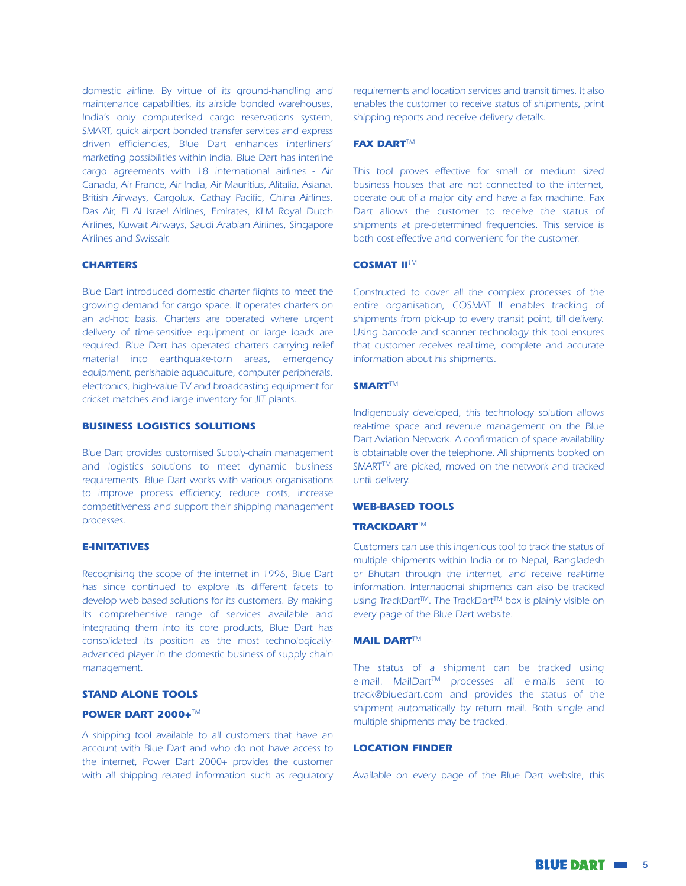domestic airline. By virtue of its ground-handling and maintenance capabilities, its airside bonded warehouses, India's only computerised cargo reservations system, SMART, quick airport bonded transfer services and express driven efficiencies, Blue Dart enhances interliners' marketing possibilities within India. Blue Dart has interline cargo agreements with 18 international airlines - Air Canada, Air France, Air India, Air Mauritius, Alitalia, Asiana, British Airways, Cargolux, Cathay Pacific, China Airlines, Das Air, El Al Israel Airlines, Emirates, KLM Royal Dutch Airlines, Kuwait Airways, Saudi Arabian Airlines, Singapore Airlines and Swissair.

#### **CHARTERS**

Blue Dart introduced domestic charter flights to meet the growing demand for cargo space. It operates charters on an ad-hoc basis. Charters are operated where urgent delivery of time-sensitive equipment or large loads are required. Blue Dart has operated charters carrying relief material into earthquake-torn areas, emergency equipment, perishable aquaculture, computer peripherals, electronics, high-value TV and broadcasting equipment for cricket matches and large inventory for JIT plants.

#### **BUSINESS LOGISTICS SOLUTIONS**

Blue Dart provides customised Supply-chain management and logistics solutions to meet dynamic business requirements. Blue Dart works with various organisations to improve process efficiency, reduce costs, increase competitiveness and support their shipping management processes.

#### **E-INITATIVES**

Recognising the scope of the internet in 1996, Blue Dart has since continued to explore its different facets to develop web-based solutions for its customers. By making its comprehensive range of services available and integrating them into its core products, Blue Dart has consolidated its position as the most technologicallyadvanced player in the domestic business of supply chain management.

#### **STAND ALONE TOOLS**

#### **POWER DART 2000+™**

A shipping tool available to all customers that have an account with Blue Dart and who do not have access to the internet, Power Dart 2000+ provides the customer with all shipping related information such as regulatory requirements and location services and transit times. It also enables the customer to receive status of shipments, print shipping reports and receive delivery details.

#### **FAX DART™**

This tool proves effective for small or medium sized business houses that are not connected to the internet, operate out of a major city and have a fax machine. Fax Dart allows the customer to receive the status of shipments at pre-determined frequencies. This service is both cost-effective and convenient for the customer.

#### **COSMAT II™**

Constructed to cover all the complex processes of the entire organisation, COSMAT II enables tracking of shipments from pick-up to every transit point, till delivery. Using barcode and scanner technology this tool ensures that customer receives real-time, complete and accurate information about his shipments.

#### **SMART<sup>TM</sup>**

Indigenously developed, this technology solution allows real-time space and revenue management on the Blue Dart Aviation Network. A confirmation of space availability is obtainable over the telephone. All shipments booked on SMART™ are picked, moved on the network and tracked until delivery.

#### **WEB-BASED TOOLS**

#### **TRACKDARTTM**

Customers can use this ingenious tool to track the status of multiple shipments within India or to Nepal, Bangladesh or Bhutan through the internet, and receive real-time information. International shipments can also be tracked using TrackDart™. The TrackDart™ box is plainly visible on every page of the Blue Dart website.

#### **MAIL DARTTM**

The status of a shipment can be tracked using e-mail. MailDart™ processes all e-mails sent to track@bluedart.com and provides the status of the shipment automatically by return mail. Both single and multiple shipments may be tracked.

#### **LOCATION FINDER**

Available on every page of the Blue Dart website, this

**BLUE DART IN 5**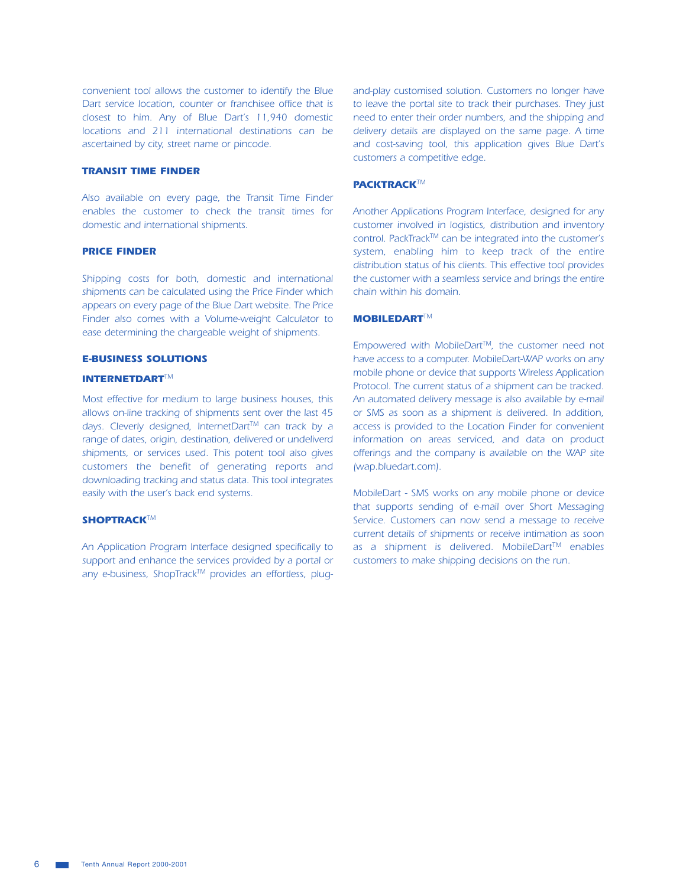convenient tool allows the customer to identify the Blue Dart service location, counter or franchisee office that is closest to him. Any of Blue Dart's 11,940 domestic locations and 211 international destinations can be ascertained by city, street name or pincode.

#### **TRANSIT TIME FINDER**

Also available on every page, the Transit Time Finder enables the customer to check the transit times for domestic and international shipments.

#### **PRICE FINDER**

Shipping costs for both, domestic and international shipments can be calculated using the Price Finder which appears on every page of the Blue Dart website. The Price Finder also comes with a Volume-weight Calculator to ease determining the chargeable weight of shipments.

#### **E-BUSINESS SOLUTIONS**

#### **INTERNETDARTTM**

Most effective for medium to large business houses, this allows on-line tracking of shipments sent over the last 45 days. Cleverly designed, InternetDart™ can track by a range of dates, origin, destination, delivered or undeliverd shipments, or services used. This potent tool also gives customers the benefit of generating reports and downloading tracking and status data. This tool integrates easily with the user's back end systems.

#### SHOPTRACK™

An Application Program Interface designed specifically to support and enhance the services provided by a portal or any e-business, ShopTrack™ provides an effortless, pluqand-play customised solution. Customers no longer have to leave the portal site to track their purchases. They just need to enter their order numbers, and the shipping and delivery details are displayed on the same page. A time and cost-saving tool, this application gives Blue Dart's customers a competitive edge.

#### **PACKTRACKTM**

Another Applications Program Interface, designed for any customer involved in logistics, distribution and inventory control. PackTrack™ can be integrated into the customer's system, enabling him to keep track of the entire distribution status of his clients. This effective tool provides the customer with a seamless service and brings the entire chain within his domain.

#### **MOBILEDARTTM**

Empowered with MobileDart™, the customer need not have access to a computer. MobileDart-WAP works on any mobile phone or device that supports Wireless Application Protocol. The current status of a shipment can be tracked. An automated delivery message is also available by e-mail or SMS as soon as a shipment is delivered. In addition, access is provided to the Location Finder for convenient information on areas serviced, and data on product offerings and the company is available on the WAP site (wap.bluedart.com).

MobileDart - SMS works on any mobile phone or device that supports sending of e-mail over Short Messaging Service. Customers can now send a message to receive current details of shipments or receive intimation as soon as a shipment is delivered. MobileDart™ enables customers to make shipping decisions on the run.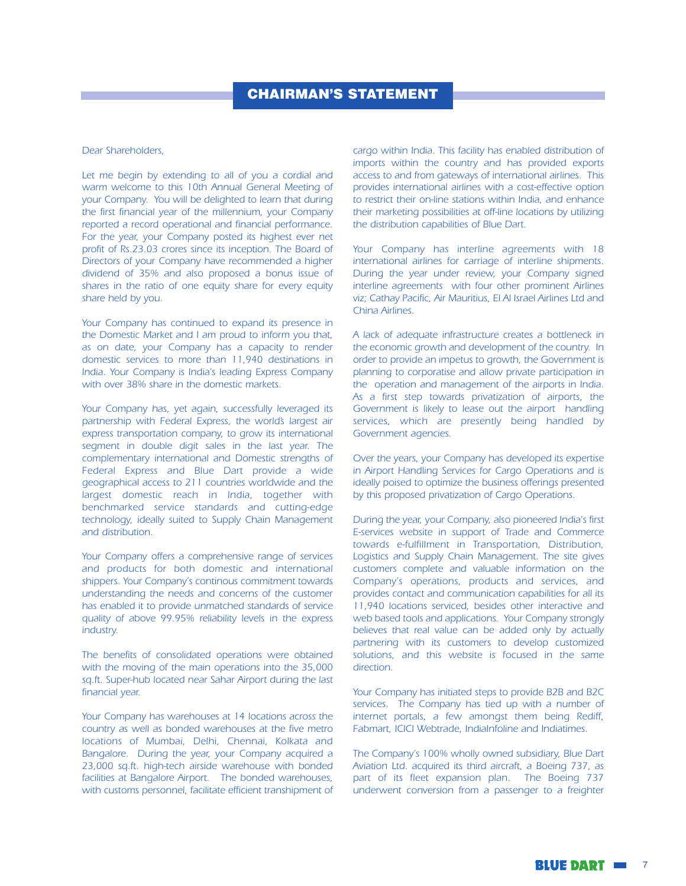## **CHAIRMAN'S STATEMENT**

#### Dear Shareholders.

Let me begin by extending to all of you a cordial and warm welcome to this 10th Annual General Meeting of your Company. You will be delighted to learn that during the first financial year of the millennium, your Company reported a record operational and financial performance. For the year, your Company posted its highest ever net profit of Rs.23.03 crores since its inception. The Board of Directors of your Company have recommended a higher dividend of 35% and also proposed a bonus issue of shares in the ratio of one equity share for every equity share held by you.

Your Company has continued to expand its presence in the Domestic Market and I am proud to inform you that, as on date, your Company has a capacity to render domestic services to more than 11,940 destinations in India. Your Company is India's leading Express Company with over 38% share in the domestic markets.

Your Company has, yet again, successfully leveraged its partnership with Federal Express, the world's largest air express transportation company, to grow its international segment in double digit sales in the last year. The complementary international and Domestic strengths of Federal Express and Blue Dart provide a wide geographical access to 211 countries worldwide and the largest domestic reach in India, together with benchmarked service standards and cutting-edge technology, ideally suited to Supply Chain Management and distribution.

Your Company offers a comprehensive range of services and products for both domestic and international shippers. Your Company's continous commitment towards understanding the needs and concerns of the customer has enabled it to provide unmatched standards of service quality of above 99.95% reliability levels in the express industry.

The benefits of consolidated operations were obtained with the moving of the main operations into the 35,000 sq.ft. Super-hub located near Sahar Airport during the last financial year.

Your Company has warehouses at 14 locations across the country as well as bonded warehouses at the five metro locations of Mumbai, Delhi, Chennai, Kolkata and Bangalore. During the year, your Company acquired a 23,000 sq.ft. high-tech airside warehouse with bonded facilities at Bangalore Airport. The bonded warehouses, with customs personnel, facilitate efficient transhipment of cargo within India. This facility has enabled distribution of imports within the country and has provided exports access to and from gateways of international airlines. This provides international airlines with a cost-effective option to restrict their on-line stations within India, and enhance their marketing possibilities at off-line locations by utilizing the distribution capabilities of Blue Dart.

Your Company has interline agreements with 18 international airlines for carriage of interline shipments. During the year under review, your Company signed interline agreements with four other prominent Airlines viz; Cathay Pacific, Air Mauritius, El Al Israel Airlines Ltd and China Airlines.

A lack of adequate infrastructure creates a bottleneck in the economic growth and development of the country. In order to provide an impetus to growth, the Government is planning to corporatise and allow private participation in the operation and management of the airports in India. As a first step towards privatization of airports, the Government is likely to lease out the airport handling services, which are presently being handled by Government agencies.

Over the years, your Company has developed its expertise in Airport Handling Services for Cargo Operations and is ideally poised to optimize the business offerings presented by this proposed privatization of Cargo Operations.

During the year, your Company, also pioneered India's first E-services website in support of Trade and Commerce towards e-fulfillment in Transportation, Distribution, Logistics and Supply Chain Management. The site gives customers complete and valuable information on the Company's operations, products and services, and provides contact and communication capabilities for all its 11,940 locations serviced, besides other interactive and web based tools and applications. Your Company strongly believes that real value can be added only by actually partnering with its customers to develop customized solutions, and this website is focused in the same direction.

Your Company has initiated steps to provide B2B and B2C services. The Company has tied up with a number of internet portals, a few amongst them being Rediff, Fabmart, ICICI Webtrade, IndiaInfoline and Indiatimes.

The Company's 100% wholly owned subsidiary, Blue Dart Aviation Ltd. acquired its third aircraft, a Boeing 737, as part of its fleet expansion plan. The Boeing 737 underwent conversion from a passenger to a freighter

**BLUE DART IN 7**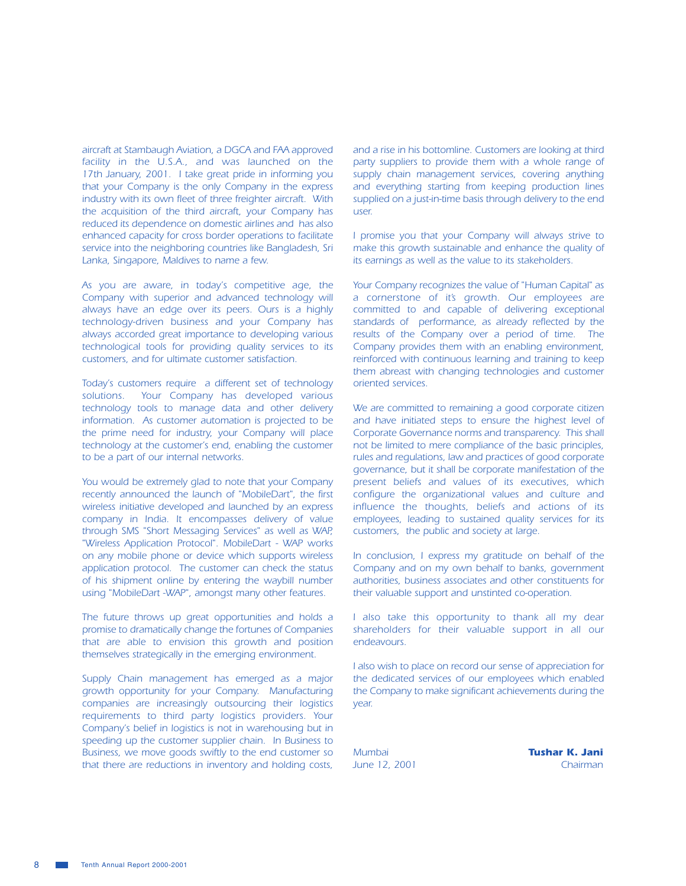aircraft at Stambaugh Aviation, a DGCA and FAA approved facility in the U.S.A., and was launched on the 17th January, 2001. I take great pride in informing you that your Company is the only Company in the express industry with its own fleet of three freighter aircraft. With the acquisition of the third aircraft, your Company has reduced its dependence on domestic airlines and has also enhanced capacity for cross border operations to facilitate service into the neighboring countries like Bangladesh, Sri Lanka, Singapore, Maldives to name a few.

As you are aware, in today's competitive age, the Company with superior and advanced technology will always have an edge over its peers. Ours is a highly technology-driven business and your Company has always accorded great importance to developing various technological tools for providing quality services to its customers, and for ultimate customer satisfaction.

Today's customers require a different set of technology solutions. Your Company has developed various technology tools to manage data and other delivery information. As customer automation is projected to be the prime need for industry, your Company will place technology at the customer's end, enabling the customer to be a part of our internal networks.

You would be extremely glad to note that your Company recently announced the launch of "MobileDart", the first wireless initiative developed and launched by an express company in India. It encompasses delivery of value through SMS "Short Messaging Services" as well as WAP, "Wireless Application Protocol". MobileDart - WAP works on any mobile phone or device which supports wireless application protocol. The customer can check the status of his shipment online by entering the waybill number using "MobileDart -WAP", amongst many other features.

The future throws up great opportunities and holds a promise to dramatically change the fortunes of Companies that are able to envision this growth and position themselves strategically in the emerging environment.

Supply Chain management has emerged as a major growth opportunity for your Company. Manufacturing companies are increasingly outsourcing their logistics requirements to third party logistics providers. Your Company's belief in logistics is not in warehousing but in speeding up the customer supplier chain. In Business to Business, we move goods swiftly to the end customer so that there are reductions in inventory and holding costs,

and a rise in his bottomline. Customers are looking at third party suppliers to provide them with a whole range of supply chain management services, covering anything and everything starting from keeping production lines supplied on a just-in-time basis through delivery to the end user.

I promise you that your Company will always strive to make this growth sustainable and enhance the quality of its earnings as well as the value to its stakeholders.

Your Company recognizes the value of "Human Capital" as a cornerstone of it's growth. Our employees are committed to and capable of delivering exceptional standards of performance, as already reflected by the results of the Company over a period of time. The Company provides them with an enabling environment, reinforced with continuous learning and training to keep them abreast with changing technologies and customer oriented services.

We are committed to remaining a good corporate citizen and have initiated steps to ensure the highest level of Corporate Governance norms and transparency. This shall not be limited to mere compliance of the basic principles, rules and regulations, law and practices of good corporate governance, but it shall be corporate manifestation of the present beliefs and values of its executives, which configure the organizational values and culture and influence the thoughts, beliefs and actions of its employees, leading to sustained quality services for its customers, the public and society at large.

In conclusion, I express my gratitude on behalf of the Company and on my own behalf to banks, government authorities, business associates and other constituents for their valuable support and unstinted co-operation.

I also take this opportunity to thank all my dear shareholders for their valuable support in all our endeavours.

I also wish to place on record our sense of appreciation for the dedicated services of our employees which enabled the Company to make significant achievements during the year.

Mumbai June 12, 2001 **Tushar K. Jani** Chairman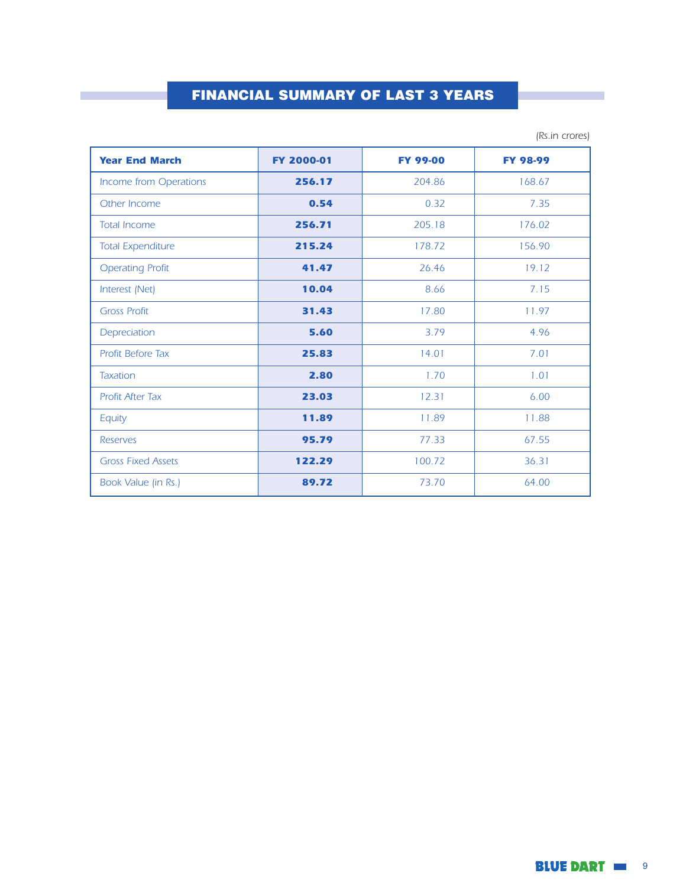## **FINANCIAL SUMMARY OF LAST 3 YEARS**

| <b>Year End March</b>     | FY 2000-01 | <b>FY 99-00</b> | <b>FY 98-99</b> |
|---------------------------|------------|-----------------|-----------------|
| Income from Operations    | 256.17     | 204.86          | 168.67          |
| Other Income              | 0.54       | 0.32            | 7.35            |
| <b>Total Income</b>       | 256.71     | 205.18          | 176.02          |
| <b>Total Expenditure</b>  | 215.24     | 178.72          | 156.90          |
| <b>Operating Profit</b>   | 41.47      | 26.46           | 19.12           |
| Interest (Net)            | 10.04      | 8.66            | 7.15            |
| <b>Gross Profit</b>       | 31.43      | 17.80           | 11.97           |
| Depreciation              | 5.60       | 3.79            | 4.96            |
| <b>Profit Before Tax</b>  | 25.83      | 14.01           | 7.01            |
| <b>Taxation</b>           | 2.80       | 1.70            | 1.01            |
| <b>Profit After Tax</b>   | 23.03      | 12.31           | 6.00            |
| Equity                    | 11.89      | 11.89           | 11.88           |
| <b>Reserves</b>           | 95.79      | 77.33           | 67.55           |
| <b>Gross Fixed Assets</b> | 122.29     | 100.72          | 36.31           |
| Book Value (in Rs.)       | 89.72      | 73.70           | 64.00           |

(Rs.in crores)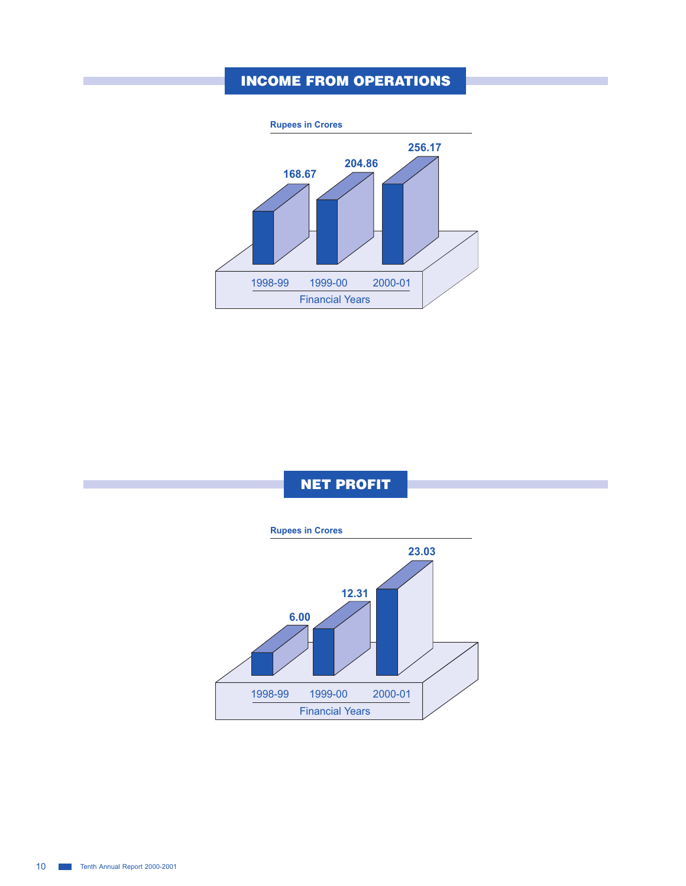## INCOME FROM OPERATIONS



NET PROFIT

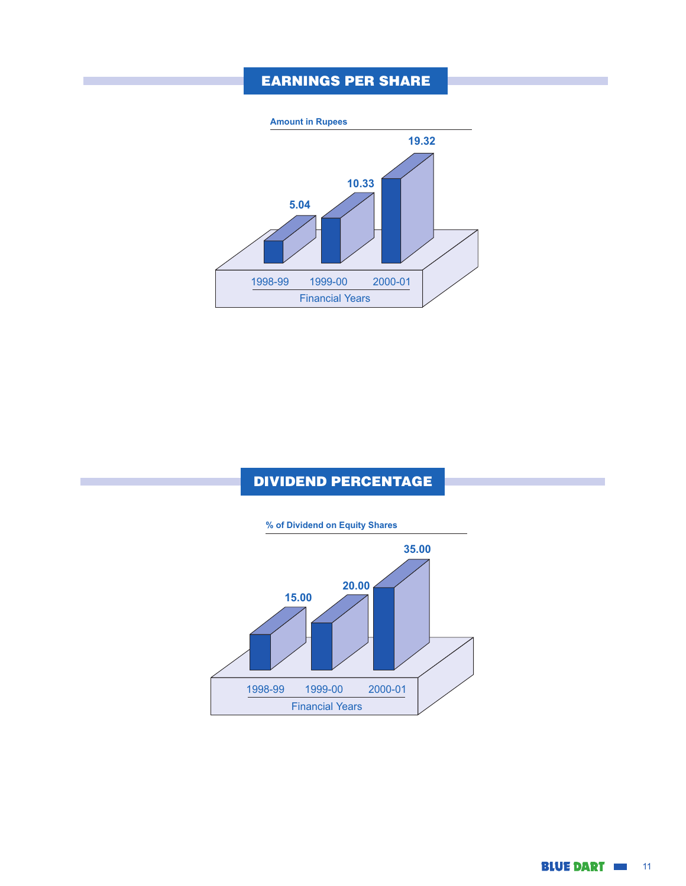## EARNINGS PER SHARE



## DIVIDEND PERCENTAGE



**BLUE DART IM 11**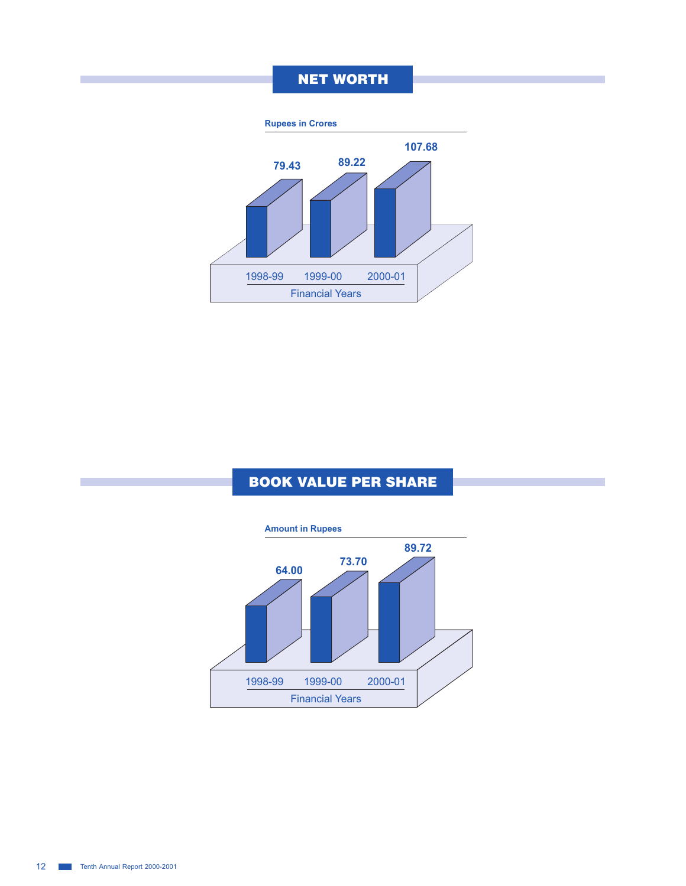## NET WORTH



## BOOK VALUE PER SHARE

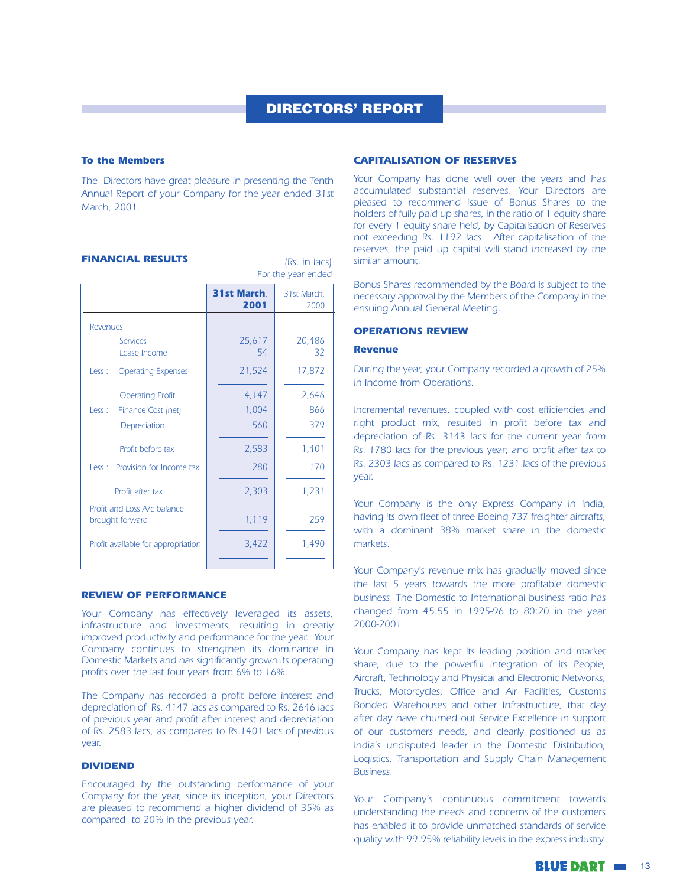(Rs. in lacs)

#### **To the Members**

The Directors have great pleasure in presenting the Tenth Annual Report of your Company for the year ended 31st March, 2001.

#### **FINANCIAL RESULTS**

For the year ended 31st March. 31st March. 2001 2000 **Revenues** 25.617 20.486 Services 54  $32$ Lease Income 17.872 21,524 Less: Operating Expenses **Operating Profit** 4,147 2,646 Less : Finance Cost (net) 1,004 866 379 Depreciation 560 2.583 1,401 Profit before tax 170 Less : Provision for Income tax 280 Profit after tax 2.303 1.231 Profit and Loss A/c balance brought forward 1,119 259 1.490 Profit available for appropriation 3.422

#### **REVIEW OF PERFORMANCE**

Your Company has effectively leveraged its assets, infrastructure and investments, resulting in greatly improved productivity and performance for the year. Your Company continues to strengthen its dominance in Domestic Markets and has significantly grown its operating profits over the last four years from 6% to 16%.

The Company has recorded a profit before interest and depreciation of Rs. 4147 lacs as compared to Rs. 2646 lacs of previous year and profit after interest and depreciation of Rs. 2583 lacs, as compared to Rs. 1401 lacs of previous vear.

#### **DIVIDEND**

Encouraged by the outstanding performance of your Company for the year, since its inception, your Directors are pleased to recommend a higher dividend of 35% as compared to 20% in the previous year.

#### **CAPITALISATION OF RESERVES**

Your Company has done well over the years and has accumulated substantial reserves. Your Directors are pleased to recommend issue of Bonus Shares to the holders of fully paid up shares, in the ratio of 1 equity share for every 1 equity share held, by Capitalisation of Reserves not exceeding Rs. 1192 lacs. After capitalisation of the reserves, the paid up capital will stand increased by the similar amount.

Bonus Shares recommended by the Board is subject to the necessary approval by the Members of the Company in the ensuing Annual General Meeting.

#### **OPERATIONS REVIEW**

#### **Revenue**

During the year, your Company recorded a growth of 25% in Income from Operations.

Incremental revenues, coupled with cost efficiencies and right product mix, resulted in profit before tax and depreciation of Rs. 3143 lacs for the current year from Rs. 1780 lacs for the previous year; and profit after tax to Rs. 2303 lacs as compared to Rs. 1231 lacs of the previous year.

Your Company is the only Express Company in India, having its own fleet of three Boeing 737 freighter aircrafts, with a dominant 38% market share in the domestic markets.

Your Company's revenue mix has gradually moved since the last 5 years towards the more profitable domestic business. The Domestic to International business ratio has changed from  $45:55$  in 1995-96 to 80:20 in the year 2000-2001.

Your Company has kept its leading position and market share, due to the powerful integration of its People, Aircraft, Technology and Physical and Electronic Networks, Trucks, Motorcycles, Office and Air Facilities, Customs Bonded Warehouses and other Infrastructure, that day after day have churned out Service Excellence in support of our customers needs, and clearly positioned us as India's undisputed leader in the Domestic Distribution, Logistics, Transportation and Supply Chain Management **Business.** 

Your Company's continuous commitment towards understanding the needs and concerns of the customers has enabled it to provide unmatched standards of service quality with 99.95% reliability levels in the express industry.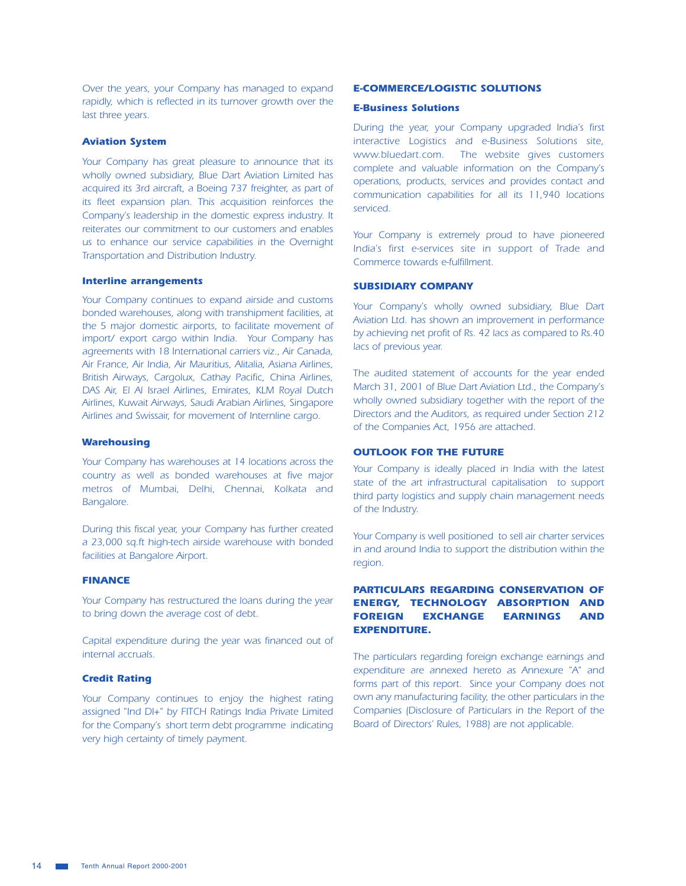Over the years, your Company has managed to expand rapidly, which is reflected in its turnover growth over the last three years.

#### **Aviation System**

Your Company has great pleasure to announce that its wholly owned subsidiary, Blue Dart Aviation Limited has acquired its 3rd aircraft, a Boeing 737 freighter, as part of its fleet expansion plan. This acquisition reinforces the Company's leadership in the domestic express industry. It reiterates our commitment to our customers and enables us to enhance our service capabilities in the Overnight Transportation and Distribution Industry.

#### **Interline arrangements**

Your Company continues to expand airside and customs bonded warehouses, along with transhipment facilities, at the 5 major domestic airports, to facilitate movement of import/ export cargo within India. Your Company has agreements with 18 International carriers viz., Air Canada, Air France, Air India, Air Mauritius, Alitalia, Asiana Airlines, British Airways, Cargolux, Cathay Pacific, China Airlines, DAS Air, El Al Israel Airlines, Emirates, KLM Royal Dutch Airlines, Kuwait Airways, Saudi Arabian Airlines, Singapore Airlines and Swissair, for movement of Internline cargo.

#### **Warehousing**

Your Company has warehouses at 14 locations across the country as well as bonded warehouses at five major metros of Mumbai, Delhi, Chennai, Kolkata and Bangalore.

During this fiscal year, your Company has further created a 23,000 sq.ft high-tech airside warehouse with bonded facilities at Bangalore Airport.

#### **FINANCE**

Your Company has restructured the loans during the year to bring down the average cost of debt.

Capital expenditure during the year was financed out of internal accruals.

#### **Credit Rating**

Your Company continues to enjoy the highest rating assigned "Ind DI+" by FITCH Ratings India Private Limited for the Company's short term debt programme indicating very high certainty of timely payment.

#### **E-COMMERCE/LOGISTIC SOLUTIONS**

#### **E-Business Solutions**

During the year, your Company upgraded India's first interactive Logistics and e-Business Solutions site, www.bluedart.com. The website gives customers complete and valuable information on the Company's operations, products, services and provides contact and communication capabilities for all its 11,940 locations serviced.

Your Company is extremely proud to have pioneered India's first e-services site in support of Trade and Commerce towards e-fulfillment.

#### **SUBSIDIARY COMPANY**

Your Company's wholly owned subsidiary, Blue Dart Aviation Ltd. has shown an improvement in performance by achieving net profit of Rs. 42 lacs as compared to Rs.40 lacs of previous year.

The audited statement of accounts for the year ended March 31, 2001 of Blue Dart Aviation Ltd., the Company's wholly owned subsidiary together with the report of the Directors and the Auditors, as required under Section 212 of the Companies Act, 1956 are attached.

#### **OUTLOOK FOR THE FUTURE**

Your Company is ideally placed in India with the latest state of the art infrastructural capitalisation to support third party logistics and supply chain management needs of the Industry.

Your Company is well positioned to sell air charter services in and around India to support the distribution within the region.

#### **PARTICULARS REGARDING CONSERVATION OF ENERGY, TECHNOLOGY ABSORPTION AND EXCHANGE EARNINGS FOREIGN AND EXPENDITURE.**

The particulars regarding foreign exchange earnings and expenditure are annexed hereto as Annexure "A" and forms part of this report. Since your Company does not own any manufacturing facility, the other particulars in the Companies (Disclosure of Particulars in the Report of the Board of Directors' Rules, 1988) are not applicable.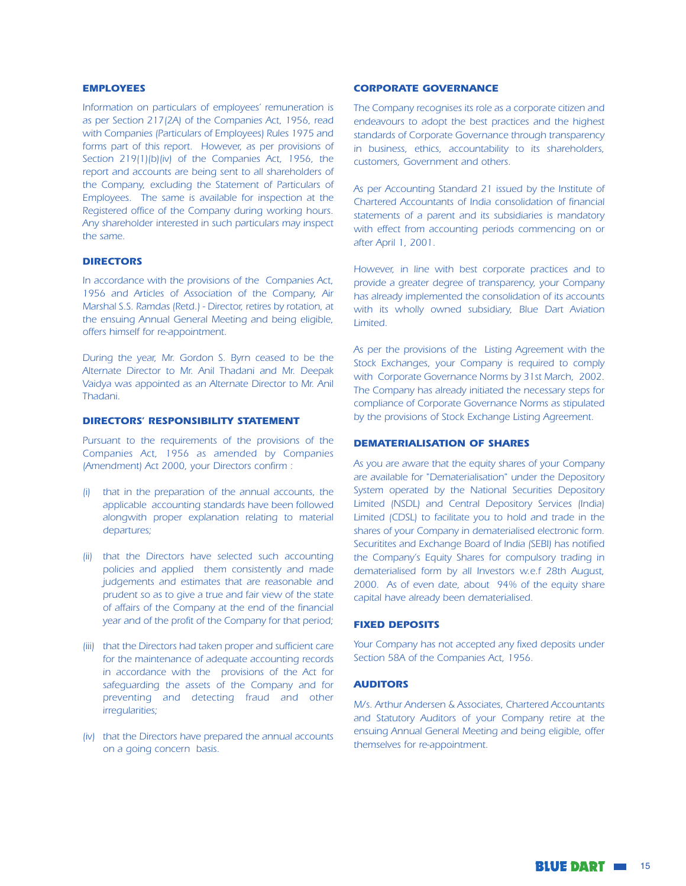#### **EMPLOYEES**

Information on particulars of employees' remuneration is as per Section 217(2A) of the Companies Act, 1956, read with Companies (Particulars of Employees) Rules 1975 and forms part of this report. However, as per provisions of Section 219(1)(b)(iv) of the Companies Act, 1956, the report and accounts are being sent to all shareholders of the Company, excluding the Statement of Particulars of Employees. The same is available for inspection at the Registered office of the Company during working hours. Any shareholder interested in such particulars may inspect the same.

#### **DIRECTORS**

In accordance with the provisions of the Companies Act, 1956 and Articles of Association of the Company, Air Marshal S.S. Ramdas (Retd.) - Director, retires by rotation, at the ensuing Annual General Meeting and being eligible, offers himself for re-appointment.

During the year, Mr. Gordon S. Byrn ceased to be the Alternate Director to Mr. Anil Thadani and Mr. Deepak Vaidya was appointed as an Alternate Director to Mr. Anil Thadani

#### **DIRECTORS' RESPONSIBILITY STATEMENT**

Pursuant to the requirements of the provisions of the Companies Act, 1956 as amended by Companies (Amendment) Act 2000, your Directors confirm :

- (i) that in the preparation of the annual accounts, the applicable accounting standards have been followed alongwith proper explanation relating to material departures;
- (ii) that the Directors have selected such accounting policies and applied them consistently and made judgements and estimates that are reasonable and prudent so as to give a true and fair view of the state of affairs of the Company at the end of the financial year and of the profit of the Company for that period;
- (iii) that the Directors had taken proper and sufficient care for the maintenance of adequate accounting records in accordance with the provisions of the Act for safequarding the assets of the Company and for preventing and detecting fraud and other irregularities;
- (iv) that the Directors have prepared the annual accounts on a going concern basis.

#### **CORPORATE GOVERNANCE**

The Company recognises its role as a corporate citizen and endeavours to adopt the best practices and the highest standards of Corporate Governance through transparency in business, ethics, accountability to its shareholders, customers, Government and others.

As per Accounting Standard 21 issued by the Institute of Chartered Accountants of India consolidation of financial statements of a parent and its subsidiaries is mandatory with effect from accounting periods commencing on or after April 1, 2001.

However, in line with best corporate practices and to provide a greater degree of transparency, your Company has already implemented the consolidation of its accounts with its wholly owned subsidiary, Blue Dart Aviation Limited

As per the provisions of the Listing Agreement with the Stock Exchanges, your Company is required to comply with Corporate Governance Norms by 31st March, 2002. The Company has already initiated the necessary steps for compliance of Corporate Governance Norms as stipulated by the provisions of Stock Exchange Listing Agreement.

#### **DEMATERIALISATION OF SHARES**

As you are aware that the equity shares of your Company are available for "Dematerialisation" under the Depository System operated by the National Securities Depository Limited (NSDL) and Central Depository Services (India) Limited (CDSL) to facilitate you to hold and trade in the shares of your Company in dematerialised electronic form. Securitites and Exchange Board of India (SEBI) has notified the Company's Equity Shares for compulsory trading in dematerialised form by all Investors w.e.f 28th August, 2000. As of even date, about 94% of the equity share capital have already been dematerialised.

#### **FIXED DEPOSITS**

Your Company has not accepted any fixed deposits under Section 58A of the Companies Act, 1956.

#### **AUDITORS**

M/s. Arthur Andersen & Associates, Chartered Accountants and Statutory Auditors of your Company retire at the ensuing Annual General Meeting and being eligible, offer themselves for re-appointment.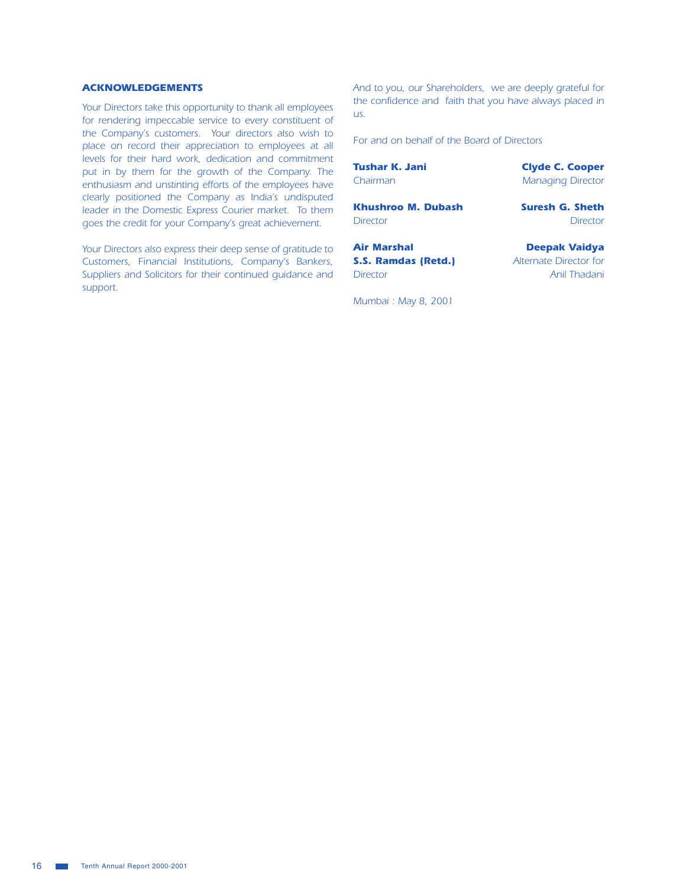#### **ACKNOWLEDGEMENTS**

Your Directors take this opportunity to thank all employees for rendering impeccable service to every constituent of the Company's customers. Your directors also wish to place on record their appreciation to employees at all levels for their hard work, dedication and commitment put in by them for the growth of the Company. The enthusiasm and unstinting efforts of the employees have clearly positioned the Company as India's undisputed leader in the Domestic Express Courier market. To them goes the credit for your Company's great achievement.

Your Directors also express their deep sense of gratitude to Customers, Financial Institutions, Company's Bankers, Suppliers and Solicitors for their continued quidance and support.

And to you, our Shareholders, we are deeply grateful for the confidence and faith that you have always placed in us.

For and on behalf of the Board of Directors

**Tushar K. Jani** Chairman

**Khushroo M. Dubash Director** 

**Air Marshal** S.S. Ramdas (Retd.) **Director** 

Mumbai: May 8, 2001

**Clyde C. Cooper Managing Director** 

**Suresh G. Sheth Director** 

**Deepak Vaidya** Alternate Director for Anil Thadani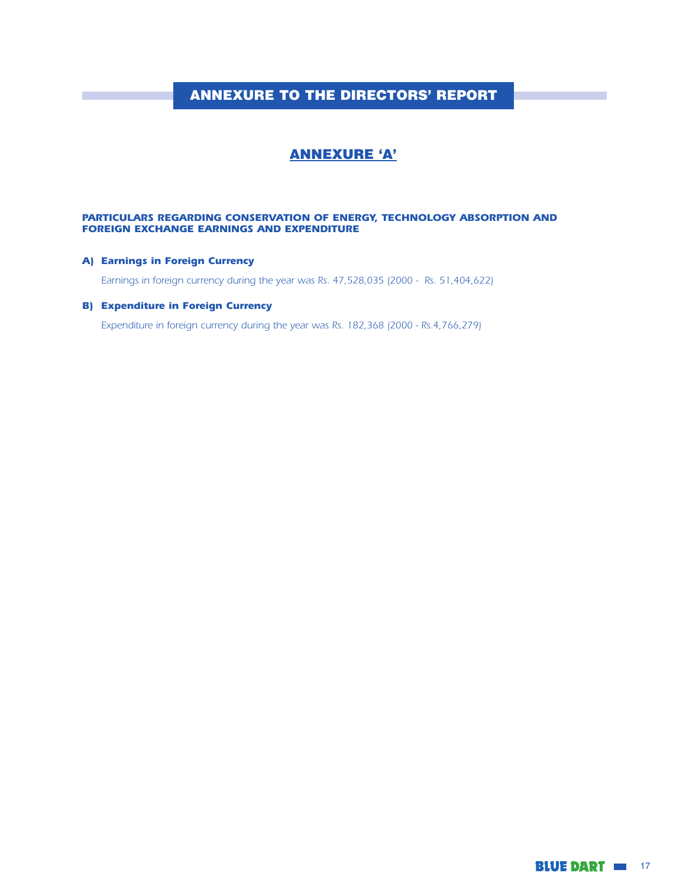## **ANNEXURE TO THE DIRECTORS' REPORT**

## **ANNEXURE 'A'**

#### PARTICULARS REGARDING CONSERVATION OF ENERGY, TECHNOLOGY ABSORPTION AND **FOREIGN EXCHANGE EARNINGS AND EXPENDITURE**

#### A) Earnings in Foreign Currency

Earnings in foreign currency during the year was Rs. 47,528,035 (2000 - Rs. 51,404,622)

#### **B) Expenditure in Foreign Currency**

Expenditure in foreign currency during the year was Rs. 182,368 (2000 - Rs.4,766,279)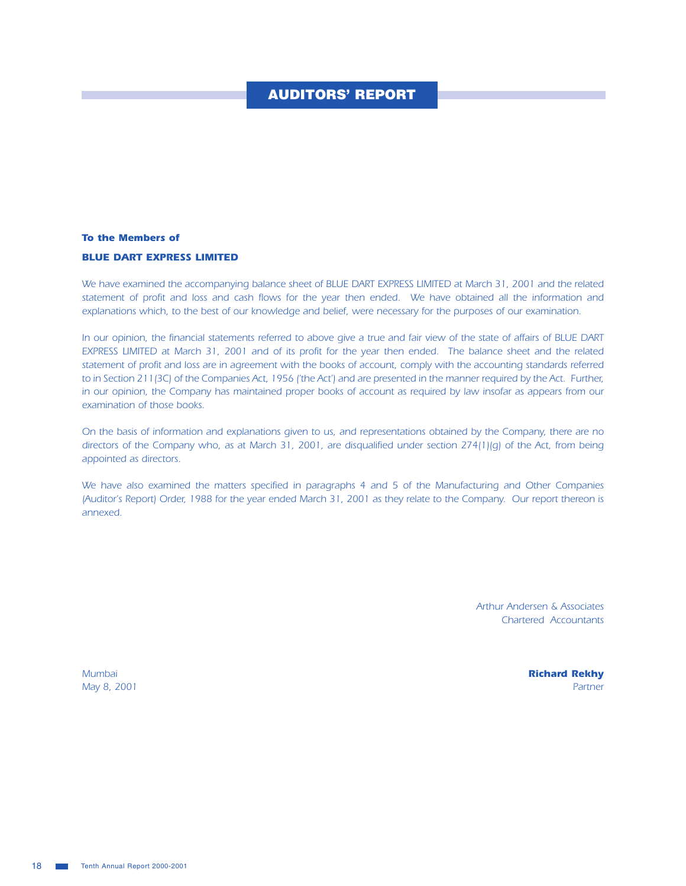## **AUDITORS' REPORT**

#### **To the Members of**

#### **BLUE DART EXPRESS LIMITED**

We have examined the accompanying balance sheet of BLUE DART EXPRESS LIMITED at March 31, 2001 and the related statement of profit and loss and cash flows for the year then ended. We have obtained all the information and explanations which, to the best of our knowledge and belief, were necessary for the purposes of our examination.

In our opinion, the financial statements referred to above give a true and fair view of the state of affairs of BLUE DART EXPRESS LIMITED at March 31, 2001 and of its profit for the year then ended. The balance sheet and the related statement of profit and loss are in agreement with the books of account, comply with the accounting standards referred to in Section 211(3C) of the Companies Act, 1956 ('the Act') and are presented in the manner required by the Act. Further, in our opinion, the Company has maintained proper books of account as required by law insofar as appears from our examination of those books.

On the basis of information and explanations given to us, and representations obtained by the Company, there are no directors of the Company who, as at March 31, 2001, are disqualified under section 274(1)(q) of the Act, from being appointed as directors.

We have also examined the matters specified in paragraphs 4 and 5 of the Manufacturing and Other Companies (Auditor's Report) Order, 1988 for the year ended March 31, 2001 as they relate to the Company. Our report thereon is annexed.

> **Arthur Andersen & Associates Chartered Accountants**

Mumbai May 8, 2001 **Richard Rekhy** Partner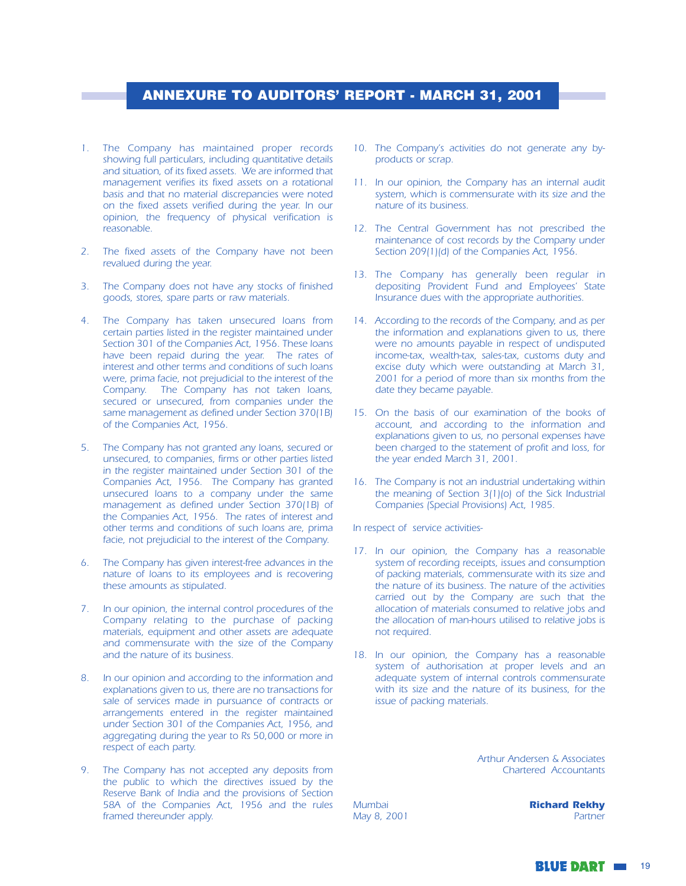## **ANNEXURE TO AUDITORS' REPORT - MARCH 31, 2001**

- 1. The Company has maintained proper records showing full particulars, including quantitative details and situation, of its fixed assets. We are informed that management verifies its fixed assets on a rotational basis and that no material discrepancies were noted on the fixed assets verified during the year. In our opinion, the frequency of physical verification is reasonable.
- 2. The fixed assets of the Company have not been revalued during the year.
- 3. The Company does not have any stocks of finished goods, stores, spare parts or raw materials.
- 4. The Company has taken unsecured loans from certain parties listed in the register maintained under Section 301 of the Companies Act, 1956. These Ioans have been repaid during the year. The rates of interest and other terms and conditions of such loans were, prima facie, not prejudicial to the interest of the Company. The Company has not taken loans, secured or unsecured, from companies under the same management as defined under Section 370(1B) of the Companies Act, 1956.
- The Company has not granted any loans, secured or unsecured, to companies, firms or other parties listed in the register maintained under Section 301 of the Companies Act, 1956. The Company has granted unsecured loans to a company under the same management as defined under Section 370(1B) of the Companies Act, 1956. The rates of interest and other terms and conditions of such loans are, prima facie, not prejudicial to the interest of the Company.
- The Company has given interest-free advances in the  $6.$ nature of loans to its employees and is recovering these amounts as stipulated.
- 7. In our opinion, the internal control procedures of the Company relating to the purchase of packing materials, equipment and other assets are adequate and commensurate with the size of the Company and the nature of its business.
- 8. In our opinion and according to the information and explanations given to us, there are no transactions for sale of services made in pursuance of contracts or arrangements entered in the register maintained under Section 301 of the Companies Act, 1956, and aggregating during the year to Rs 50,000 or more in respect of each party.
- 9. The Company has not accepted any deposits from the public to which the directives issued by the Reserve Bank of India and the provisions of Section 58A of the Companies Act, 1956 and the rules framed thereunder apply.
- 10. The Company's activities do not generate any byproducts or scrap.
- 11. In our opinion, the Company has an internal audit system, which is commensurate with its size and the nature of its business.
- 12. The Central Government has not prescribed the maintenance of cost records by the Company under Section 209(1)(d) of the Companies Act, 1956.
- 13. The Company has generally been regular in depositing Provident Fund and Employees' State Insurance dues with the appropriate authorities.
- 14. According to the records of the Company, and as per the information and explanations given to us, there were no amounts payable in respect of undisputed income-tax, wealth-tax, sales-tax, customs duty and excise duty which were outstanding at March 31, 2001 for a period of more than six months from the date they became payable.
- 15. On the basis of our examination of the books of account, and according to the information and explanations given to us, no personal expenses have been charged to the statement of profit and loss, for the year ended March 31, 2001.
- 16. The Company is not an industrial undertaking within the meaning of Section 3(1)(o) of the Sick Industrial Companies (Special Provisions) Act, 1985.

In respect of service activities-

- 17. In our opinion, the Company has a reasonable system of recording receipts, issues and consumption of packing materials, commensurate with its size and the nature of its business. The nature of the activities carried out by the Company are such that the allocation of materials consumed to relative jobs and the allocation of man-hours utilised to relative jobs is not required.
- 18. In our opinion, the Company has a reasonable system of authorisation at proper levels and an adequate system of internal controls commensurate with its size and the nature of its business, for the issue of packing materials.

Arthur Andersen & Associates Chartered Accountants

Mumbai May 8, 2001 **Richard Rekhy** Partner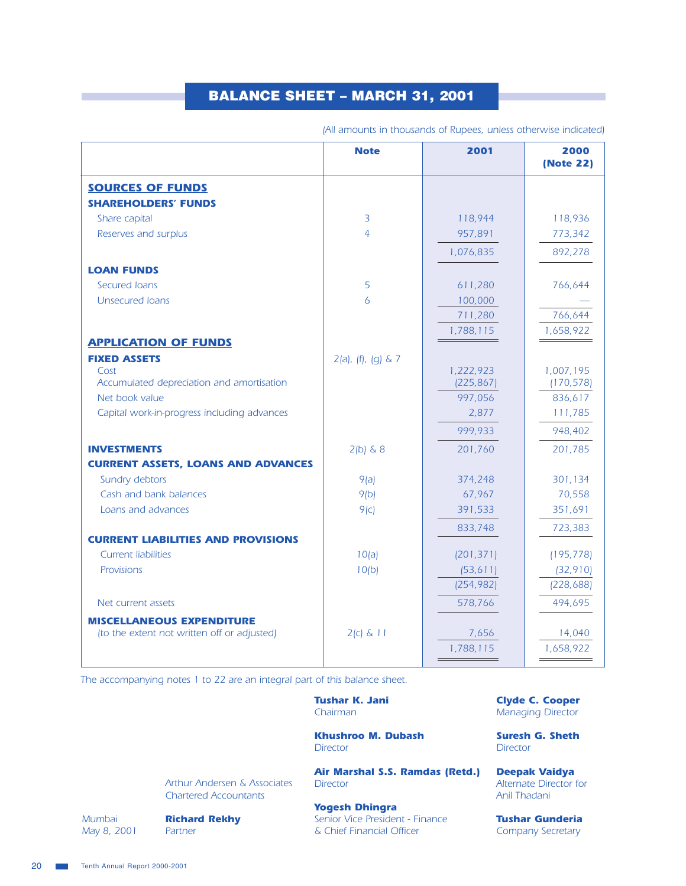# **BALANCE SHEET - MARCH 31, 2001**

|                                                   | <b>Note</b>                | 2001                    | 2000<br>(Note 22)       |
|---------------------------------------------------|----------------------------|-------------------------|-------------------------|
| <b>SOURCES OF FUNDS</b>                           |                            |                         |                         |
| <b>SHAREHOLDERS' FUNDS</b>                        |                            |                         |                         |
| Share capital                                     | 3                          | 118,944                 | 118,936                 |
| Reserves and surplus                              | $\overline{4}$             | 957,891                 | 773,342                 |
|                                                   |                            | 1,076,835               | 892,278                 |
| <b>LOAN FUNDS</b>                                 |                            |                         |                         |
| Secured Ioans                                     | 5                          | 611,280                 | 766,644                 |
| <b>Unsecured Joans</b>                            | 6                          | 100,000                 |                         |
|                                                   |                            | 711,280                 | 766,644                 |
|                                                   |                            | 1,788,115               | 1,658,922               |
| <b>APPLICATION OF FUNDS</b>                       |                            |                         |                         |
| <b>FIXED ASSETS</b>                               | $2(a)$ , $(f)$ , $(g)$ & 7 |                         |                         |
| Cost<br>Accumulated depreciation and amortisation |                            | 1,222,923<br>(225, 867) | 1,007,195<br>(170, 578) |
| Net book value                                    |                            | 997,056                 | 836,617                 |
| Capital work-in-progress including advances       |                            | 2,877                   | 111,785                 |
|                                                   |                            | 999,933                 | 948,402                 |
| <b>INVESTMENTS</b>                                | $2(b)$ & 8                 | 201,760                 | 201,785                 |
| <b>CURRENT ASSETS, LOANS AND ADVANCES</b>         |                            |                         |                         |
| Sundry debtors                                    | 9(a)                       | 374,248                 | 301,134                 |
| Cash and bank balances                            | 9(b)                       | 67,967                  | 70,558                  |
| Loans and advances                                | 9(c)                       | 391,533                 | 351,691                 |
|                                                   |                            | 833,748                 | 723,383                 |
| <b>CURRENT LIABILITIES AND PROVISIONS</b>         |                            |                         |                         |
| <b>Current liabilities</b>                        | 10(a)                      | (201, 371)              | (195, 778)              |
| Provisions                                        | 10(b)                      | (53, 611)               | (32, 910)               |
|                                                   |                            | (254, 982)              | (228, 688)              |
| Net current assets                                |                            | 578,766                 | 494,695                 |
| <b>MISCELLANEOUS EXPENDITURE</b>                  |                            |                         |                         |
| (to the extent not written off or adjusted)       | $2(c)$ & 11                | 7,656                   | 14,040                  |
|                                                   |                            | 1,788,115               | 1,658,922               |

(All amounts in thousands of Rupees, unless otherwise indicated)

The accompanying notes 1 to 22 are an integral part of this balance sheet.

**Tushar K. Jani** Chairman

**Khushroo M. Dubash Director** 

Air Marshal S.S. Ramdas (Retd.) **Director** 

**Yogesh Dhingra** 

Senior Vice President - Finance & Chief Financial Officer

**Clyde C. Cooper Managing Director** 

**Suresh G. Sheth Director** 

**Deepak Vaidya** Alternate Director for Anil Thadani

**Tushar Gunderia** Company Secretary

**Arthur Andersen & Associates Chartered Accountants** 

Mumbai May 8, 2001

**Richard Rekhy** Partner

20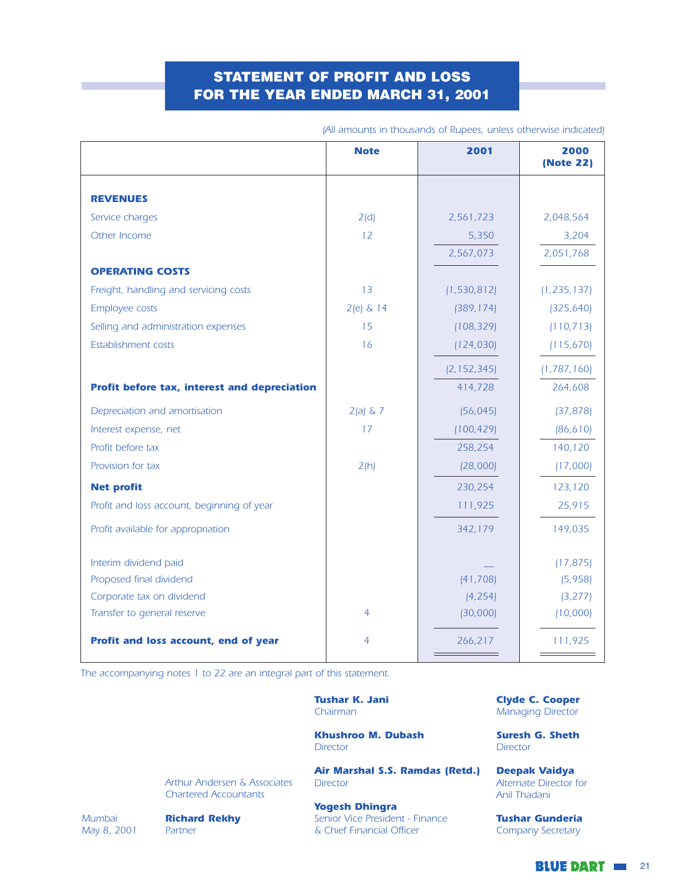## **STATEMENT OF PROFIT AND LOSS** FOR THE YEAR ENDED MARCH 31, 2001

|                                              | <b>Note</b> | 2001          | 2000<br>(Note 22) |
|----------------------------------------------|-------------|---------------|-------------------|
|                                              |             |               |                   |
| <b>REVENUES</b>                              |             |               |                   |
| Service charges                              | 2(d)        | 2,561,723     | 2,048,564         |
| Other Income                                 | 12          | 5,350         | 3,204             |
|                                              |             | 2,567,073     | 2,051,768         |
| <b>OPERATING COSTS</b>                       |             |               |                   |
| Freight, handling and servicing costs        | 13          | (1, 530, 812) | (1, 235, 137)     |
| Employee costs                               | $2(e)$ & 14 | (389, 174)    | (325, 640)        |
| Selling and administration expenses          | 15          | (108, 329)    | (110, 713)        |
| Establishment costs                          | 16          | (124, 030)    | (115, 670)        |
|                                              |             | (2, 152, 345) | (1, 787, 160)     |
| Profit before tax, interest and depreciation |             | 414,728       | 264,608           |
| Depreciation and amortisation                | $2(a) \& 7$ | (56, 045)     | (37, 878)         |
| Interest expense, net                        | 17          | (100, 429)    | (86, 610)         |
| Profit before tax                            |             | 258,254       | 140,120           |
| Provision for tax                            | 2(h)        | (28,000)      | (17,000)          |
| <b>Net profit</b>                            |             | 230,254       | 123,120           |
| Profit and loss account, beginning of year   |             | 111,925       | 25,915            |
| Profit available for appropriation           |             | 342,179       | 149,035           |
| Interim dividend paid                        |             |               | (17, 875)         |
| Proposed final dividend                      |             | (41, 708)     | (5,958)           |
| Corporate tax on dividend                    |             | (4, 254)      | (3, 277)          |
| Transfer to general reserve                  | 4           | (30,000)      | (10,000)          |
| Profit and loss account, end of year         | 4           | 266,217       | 111,925           |

(All amounts in thousands of Rupees, unless otherwise indicated)

The accompanying notes 1 to 22 are an integral part of this statement.

**Tushar K. Jani** Chairman

**Khushroo M. Dubash Director** 

Air Marshal S.S. Ramdas (Retd.) **Director** 

**Arthur Andersen & Associates Chartered Accountants** 

Mumbai May 8, 2001

**Richard Rekhy** Partner

**Yogesh Dhingra** Senior Vice President - Finance

& Chief Financial Officer

**Clyde C. Cooper Managing Director** 

**Suresh G. Sheth Director** 

**Deepak Vaidya** Alternate Director for Anil Thadani

**Tushar Gunderia** Company Secretary

**BLUE DART III** 21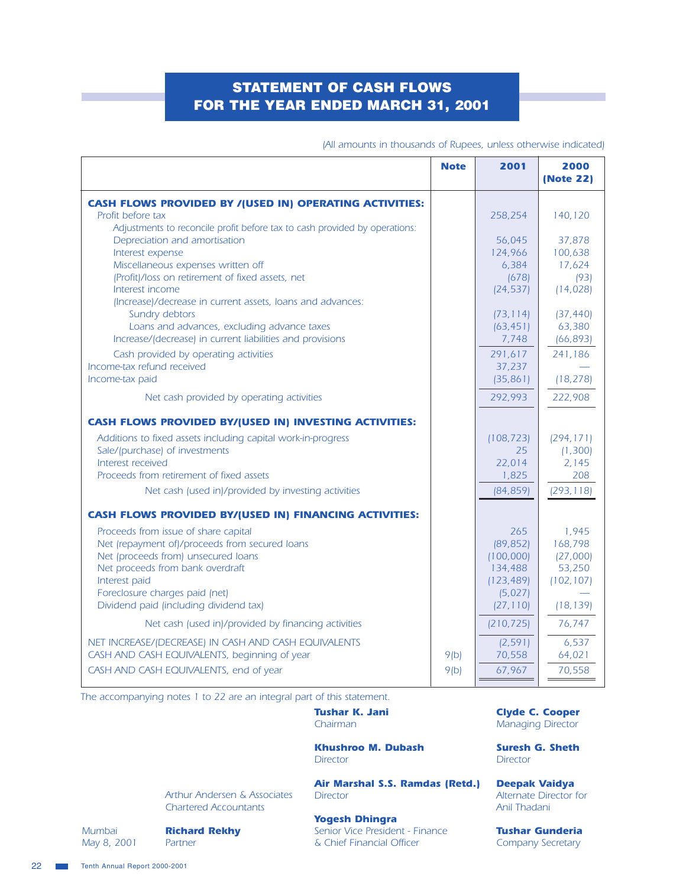## **STATEMENT OF CASH FLOWS** FOR THE YEAR ENDED MARCH 31, 2001

|                                                                                                                                                                                                                                                                                                                                 | <b>Note</b>  | 2001                                                                           | 2000<br>(Note 22)                                                 |
|---------------------------------------------------------------------------------------------------------------------------------------------------------------------------------------------------------------------------------------------------------------------------------------------------------------------------------|--------------|--------------------------------------------------------------------------------|-------------------------------------------------------------------|
| <b>CASH FLOWS PROVIDED BY /(USED IN) OPERATING ACTIVITIES:</b><br>Profit before tax                                                                                                                                                                                                                                             |              | 258,254                                                                        | 140,120                                                           |
| Adjustments to reconcile profit before tax to cash provided by operations:<br>Depreciation and amortisation<br>Interest expense<br>Miscellaneous expenses written off                                                                                                                                                           |              | 56,045<br>124,966<br>6,384                                                     | 37,878<br>100,638<br>17,624                                       |
| (Profit)/loss on retirement of fixed assets, net<br>Interest income<br>(Increase)/decrease in current assets, loans and advances:<br>Sundry debtors                                                                                                                                                                             |              | (678)<br>(24, 537)<br>(73, 114)                                                | (93)<br>(14, 028)<br>(37, 440)                                    |
| Loans and advances, excluding advance taxes<br>Increase/(decrease) in current liabilities and provisions<br>Cash provided by operating activities                                                                                                                                                                               |              | (63, 451)<br>7,748<br>291,617                                                  | 63,380<br>(66, 893)<br>241,186                                    |
| Income-tax refund received<br>Income-tax paid<br>Net cash provided by operating activities                                                                                                                                                                                                                                      |              | 37,237<br>(35, 861)<br>292,993                                                 | (18, 278)<br>222,908                                              |
| <b>CASH FLOWS PROVIDED BY/(USED IN) INVESTING ACTIVITIES:</b>                                                                                                                                                                                                                                                                   |              |                                                                                |                                                                   |
| Additions to fixed assets including capital work-in-progress<br>Sale/(purchase) of investments<br>Interest received<br>Proceeds from retirement of fixed assets                                                                                                                                                                 |              | (108, 723)<br>25<br>22,014<br>1,825                                            | (294, 171)<br>(1, 300)<br>2,145<br>208                            |
| Net cash (used in)/provided by investing activities                                                                                                                                                                                                                                                                             |              | (84, 859)                                                                      | (293, 118)                                                        |
| <b>CASH FLOWS PROVIDED BY/(USED IN) FINANCING ACTIVITIES:</b><br>Proceeds from issue of share capital<br>Net (repayment of)/proceeds from secured loans<br>Net (proceeds from) unsecured loans<br>Net proceeds from bank overdraft<br>Interest paid<br>Foreclosure charges paid (net)<br>Dividend paid (including dividend tax) |              | 265<br>(89, 852)<br>(100,000)<br>134,488<br>(123, 489)<br>(5,027)<br>(27, 110) | 1,945<br>168,798<br>(27,000)<br>53,250<br>(102, 107)<br>(18, 139) |
| Net cash (used in)/provided by financing activities                                                                                                                                                                                                                                                                             |              | (210, 725)                                                                     | 76,747                                                            |
| NET INCREASE/(DECREASE) IN CASH AND CASH EQUIVALENTS<br>CASH AND CASH EQUIVALENTS, beginning of year<br>CASH AND CASH EQUIVALENTS, end of year                                                                                                                                                                                  | 9(b)<br>9(b) | (2, 591)<br>70,558<br>67,967                                                   | 6,537<br>64,021<br>70,558                                         |

(All amounts in thousands of Rupees, unless otherwise indicated)

The accompanying notes 1 to 22 are an integral part of this statement.

**Tushar K. Jani** Chairman

**Khushroo M. Dubash Director** 

**Arthur Andersen & Associates Chartered Accountants** 

Air Marshal S.S. Ramdas (Retd.) **Director** 

**Yogesh Dhingra** Senior Vice President - Finance & Chief Financial Officer

**Clyde C. Cooper Managing Director** 

**Suresh G. Sheth Director** 

**Deepak Vaidya** Alternate Director for Anil Thadani

**Tushar Gunderia** Company Secretary

Mumbai May 8, 2001

**Richard Rekhy** Partner

Tenth Annual Report 2000-2001  $\sim 10$ 

22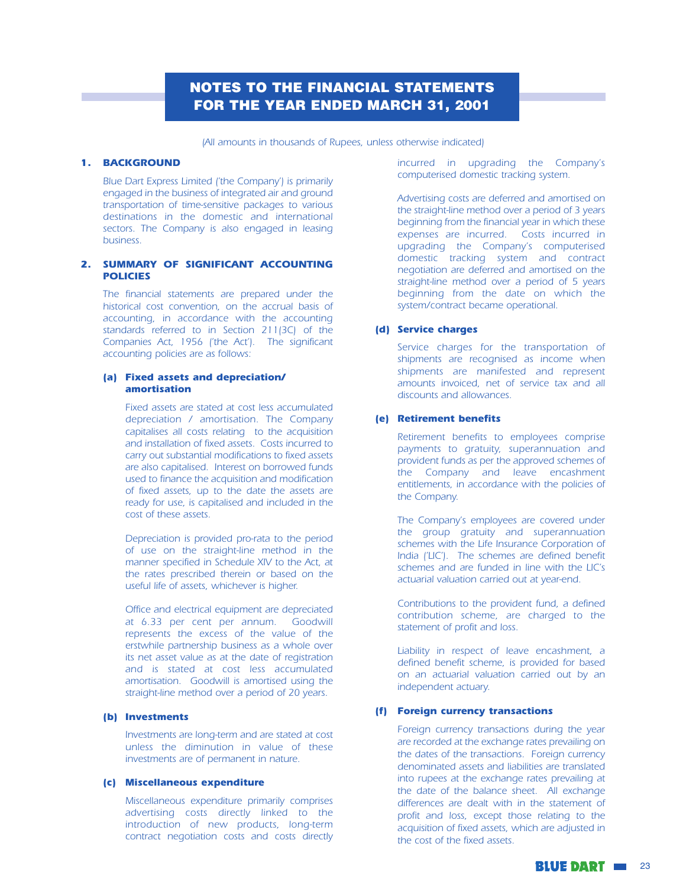## **NOTES TO THE FINANCIAL STATEMENTS FOR THE YEAR ENDED MARCH 31, 2001**

(All amounts in thousands of Rupees, unless otherwise indicated)

#### **1. BACKGROUND**

Blue Dart Express Limited ('the Company') is primarily engaged in the business of integrated air and ground transportation of time-sensitive packages to various destinations in the domestic and international sectors. The Company is also engaged in leasing business.

#### 2. SUMMARY OF SIGNIFICANT ACCOUNTING **POLICIES**

The financial statements are prepared under the historical cost convention, on the accrual basis of accounting, in accordance with the accounting standards referred to in Section 211(3C) of the Companies Act, 1956 ('the Act'). The significant accounting policies are as follows:

#### (a) Fixed assets and depreciation/ amortisation

Fixed assets are stated at cost less accumulated depreciation / amortisation. The Company capitalises all costs relating to the acquisition and installation of fixed assets. Costs incurred to carry out substantial modifications to fixed assets are also capitalised. Interest on borrowed funds used to finance the acquisition and modification of fixed assets, up to the date the assets are ready for use, is capitalised and included in the cost of these assets.

Depreciation is provided pro-rata to the period of use on the straight-line method in the manner specified in Schedule XIV to the Act, at the rates prescribed therein or based on the useful life of assets, whichever is higher.

Office and electrical equipment are depreciated at 6.33 per cent per annum. Goodwill represents the excess of the value of the erstwhile partnership business as a whole over its net asset value as at the date of registration and is stated at cost less accumulated amortisation. Goodwill is amortised using the straight-line method over a period of 20 years.

#### (b) Investments

Investments are long-term and are stated at cost unless the diminution in value of these investments are of permanent in nature.

#### (c) Miscellaneous expenditure

Miscellaneous expenditure primarily comprises advertising costs directly linked to the introduction of new products, long-term contract negotiation costs and costs directly incurred in upgrading the Company's computerised domestic tracking system.

Advertising costs are deferred and amortised on the straight-line method over a period of 3 years beginning from the financial year in which these expenses are incurred. Costs incurred in upgrading the Company's computerised domestic tracking system and contract negotiation are deferred and amortised on the straight-line method over a period of 5 years beginning from the date on which the system/contract became operational.

#### (d) Service charges

Service charges for the transportation of shipments are recognised as income when shipments are manifested and represent amounts invoiced, net of service tax and all discounts and allowances.

#### (e) Retirement benefits

Retirement benefits to employees comprise payments to gratuity, superannuation and provident funds as per the approved schemes of the Company and leave encashment entitlements, in accordance with the policies of the Company.

The Company's employees are covered under the group gratuity and superannuation schemes with the Life Insurance Corporation of India ('LIC'). The schemes are defined benefit schemes and are funded in line with the LIC's actuarial valuation carried out at year-end.

Contributions to the provident fund, a defined contribution scheme, are charged to the statement of profit and loss.

Liability in respect of leave encashment, a defined benefit scheme, is provided for based on an actuarial valuation carried out by an independent actuary.

#### (f) Foreign currency transactions

Foreign currency transactions during the year are recorded at the exchange rates prevailing on the dates of the transactions. Foreign currency denominated assets and liabilities are translated into rupees at the exchange rates prevailing at the date of the balance sheet. All exchange differences are dealt with in the statement of profit and loss, except those relating to the acquisition of fixed assets, which are adjusted in the cost of the fixed assets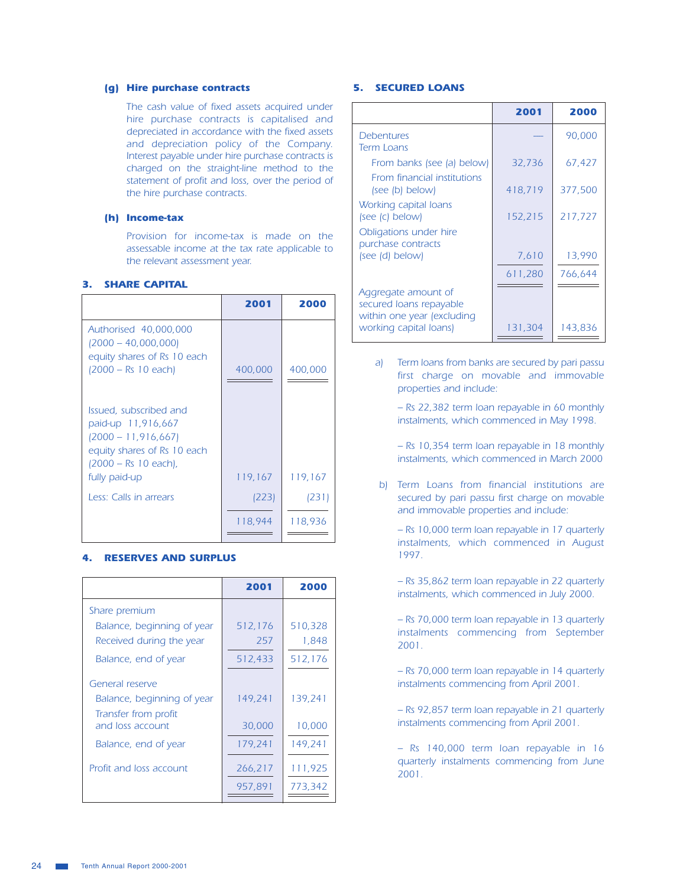#### (q) Hire purchase contracts

The cash value of fixed assets acquired under hire purchase contracts is capitalised and depreciated in accordance with the fixed assets and depreciation policy of the Company. Interest payable under hire purchase contracts is charged on the straight-line method to the statement of profit and loss, over the period of the hire purchase contracts.

#### (h) Income-tax

Provision for income-tax is made on the assessable income at the tax rate applicable to the relevant assessment year.

#### **3. SHARE CAPITAL**

|                                                                                                                                | 2001    | 2000    |
|--------------------------------------------------------------------------------------------------------------------------------|---------|---------|
| Authorised 40,000,000<br>$(2000 - 40,000,000)$<br>equity shares of Rs 10 each<br>(2000 – Rs 10 each)                           | 400,000 | 400,000 |
| Issued, subscribed and<br>paid-up 11,916,667<br>$(2000 - 11, 916, 667)$<br>equity shares of Rs 10 each<br>(2000 – Rs 10 each), |         |         |
| fully paid-up                                                                                                                  | 119,167 | 119,167 |
| Less: Calls in arrears                                                                                                         | (223)   | (231)   |
|                                                                                                                                | 118,944 | 118,936 |

#### **4. RESERVES AND SURPLUS**

| 2001               | 2000               |
|--------------------|--------------------|
|                    |                    |
| 512,176            | 510,328            |
| 257                | 1,848              |
| 512,433            | 512,176            |
|                    |                    |
| 149.241            | 139.241            |
| 30,000             | 10,000             |
| 179,241            | 149,241            |
| 266,217<br>957,891 | 111,925<br>773.342 |
|                    |                    |

#### **5. SECURED LOANS**

|                                                                              | 2001    | 2000    |
|------------------------------------------------------------------------------|---------|---------|
| Debentures<br><b>Term Loans</b>                                              |         | 90,000  |
| From banks (see (a) below)                                                   | 32,736  | 67,427  |
| From financial institutions<br>(see (b) below)                               | 418,719 | 377,500 |
| Working capital loans<br>(see (c) below)                                     | 152,215 | 217,727 |
| Obligations under hire<br>purchase contracts                                 |         |         |
| (see (d) below)                                                              | 7,610   | 13,990  |
|                                                                              | 611,280 | 766,644 |
| Aggregate amount of<br>secured loans repayable<br>within one year (excluding |         |         |
| working capital loans)                                                       | 131,304 | 143,836 |

Term loans from banks are secured by pari passu a) first charge on movable and immovable properties and include:

- Rs 22,382 term loan repayable in 60 monthly instalments, which commenced in May 1998.

- Rs 10,354 term loan repayable in 18 monthly instalments, which commenced in March 2000

b) Term Loans from financial institutions are secured by pari passu first charge on movable and immovable properties and include:

- Rs 10,000 term loan repayable in 17 quarterly instalments, which commenced in August 1997.

- Rs 35,862 term loan repayable in 22 quarterly instalments, which commenced in July 2000.

- Rs 70,000 term loan repayable in 13 quarterly instalments commencing from September  $2001.$ 

- Rs 70,000 term loan repayable in 14 quarterly instalments commencing from April 2001.

- Rs 92,857 term loan repayable in 21 quarterly instalments commencing from April 2001.

- Rs 140,000 term loan repayable in 16 quarterly instalments commencing from June 2001.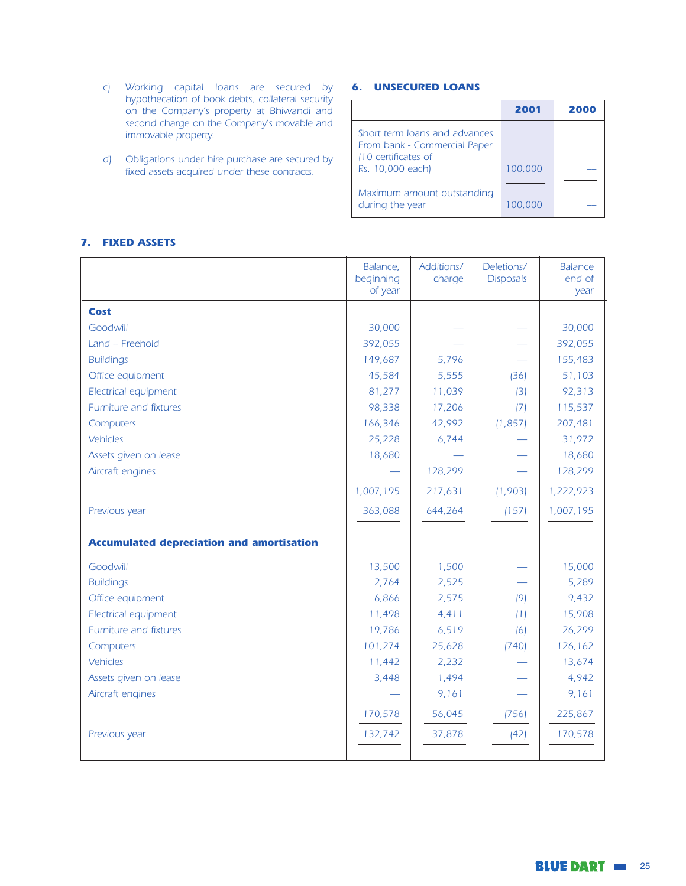- c) Working capital loans are secured by hypothecation of book debts, collateral security on the Company's property at Bhiwandi and second charge on the Company's movable and immovable property.
- d) Obligations under hire purchase are secured by fixed assets acquired under these contracts.

## **6. UNSECURED LOANS**

|                                                                                      | 2001    | 2000 |
|--------------------------------------------------------------------------------------|---------|------|
| Short term Joans and advances<br>From bank - Commercial Paper<br>(10 certificates of |         |      |
| Rs. 10,000 each)                                                                     | 100,000 |      |
|                                                                                      |         |      |
| Maximum amount outstanding<br>during the year                                        | 100,000 |      |

#### 7. FIXED ASSETS

|                                                  | Balance,<br>beginning<br>of year | Additions/<br>charge | Deletions/<br><b>Disposals</b> | <b>Balance</b><br>end of<br>year |
|--------------------------------------------------|----------------------------------|----------------------|--------------------------------|----------------------------------|
| Cost                                             |                                  |                      |                                |                                  |
| Goodwill                                         | 30,000                           |                      |                                | 30,000                           |
| Land - Freehold                                  | 392,055                          |                      |                                | 392,055                          |
| <b>Buildings</b>                                 | 149,687                          | 5,796                |                                | 155,483                          |
| Office equipment                                 | 45,584                           | 5,555                | (36)                           | 51,103                           |
| Electrical equipment                             | 81,277                           | 11,039               | (3)                            | 92,313                           |
| Furniture and fixtures                           | 98,338                           | 17,206               | (7)                            | 115,537                          |
| Computers                                        | 166,346                          | 42,992               | (1, 857)                       | 207,481                          |
| Vehicles                                         | 25,228                           | 6,744                |                                | 31,972                           |
| Assets given on lease                            | 18,680                           |                      |                                | 18,680                           |
| Aircraft engines                                 |                                  | 128,299              |                                | 128,299                          |
|                                                  | 1,007,195                        | 217,631              | (1,903)                        | 1,222,923                        |
| Previous year                                    | 363,088                          | 644,264              | (157)                          | 1,007,195                        |
| <b>Accumulated depreciation and amortisation</b> |                                  |                      |                                |                                  |
| Goodwill                                         | 13,500                           | 1,500                |                                | 15,000                           |
| <b>Buildings</b>                                 | 2,764                            | 2,525                |                                | 5,289                            |
| Office equipment                                 | 6,866                            | 2,575                | (9)                            | 9,432                            |
| Electrical equipment                             | 11,498                           | 4,411                | (1)                            | 15,908                           |
| Furniture and fixtures                           | 19,786                           | 6,519                | (6)                            | 26,299                           |
| Computers                                        | 101,274                          | 25,628               | (740)                          | 126,162                          |
| Vehicles                                         | 11,442                           | 2,232                |                                | 13,674                           |
| Assets given on lease                            | 3,448                            | 1,494                |                                | 4,942                            |
| Aircraft engines                                 |                                  | 9,161                |                                | 9,161                            |
|                                                  | 170,578                          | 56,045               | (756)                          | 225,867                          |
| Previous year                                    | 132,742                          | 37,878               | (42)                           | 170,578                          |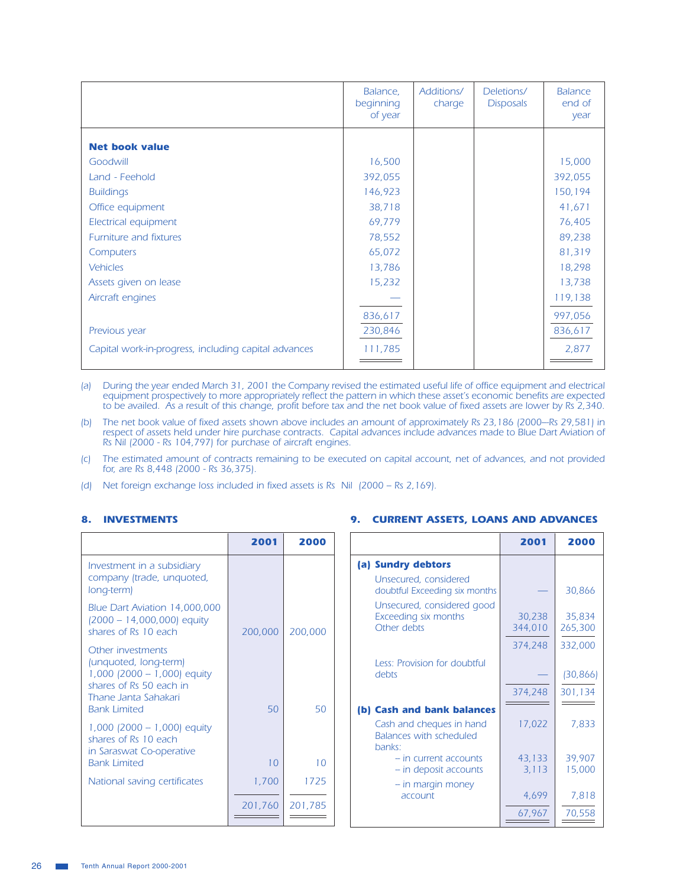|                                                      | Balance,<br>beginning<br>of year | Additions/<br>charge | Deletions/<br><b>Disposals</b> | <b>Balance</b><br>end of<br>year |
|------------------------------------------------------|----------------------------------|----------------------|--------------------------------|----------------------------------|
| <b>Net book value</b>                                |                                  |                      |                                |                                  |
|                                                      |                                  |                      |                                |                                  |
| Goodwill                                             | 16,500                           |                      |                                | 15,000                           |
| Land - Feehold                                       | 392,055                          |                      |                                | 392,055                          |
| <b>Buildings</b>                                     | 146,923                          |                      |                                | 150,194                          |
| Office equipment                                     | 38,718                           |                      |                                | 41,671                           |
| Electrical equipment                                 | 69,779                           |                      |                                | 76,405                           |
| Furniture and fixtures                               | 78,552                           |                      |                                | 89,238                           |
| Computers                                            | 65,072                           |                      |                                | 81,319                           |
| <b>Vehicles</b>                                      | 13,786                           |                      |                                | 18,298                           |
| Assets given on lease                                | 15,232                           |                      |                                | 13,738                           |
| Aircraft engines                                     |                                  |                      |                                | 119,138                          |
|                                                      | 836,617                          |                      |                                | 997,056                          |
| Previous year                                        | 230,846                          |                      |                                | 836,617                          |
| Capital work-in-progress, including capital advances | 111,785                          |                      |                                | 2,877                            |

(a) During the year ended March 31, 2001 the Company revised the estimated useful life of office equipment and electrical equipment prospectively to more appropriately reflect the pattern in which these asset's economic be

(b) The net book value of fixed assets shown above includes an amount of approximately Rs 23,186 (2000–Rs 29,581) in respect of assets held under hire purchase contracts. Capital advances include advances made to Blue Dart Aviation of<br>Rs Nil (2000 - Rs 104,797) for purchase of aircraft engines.

The estimated amount of contracts remaining to be executed on capital account, net of advances, and not provided  $(C)$ for, are Rs 8,448 (2000 - Rs 36,375).

9. CURRENT ASSETS, LOANS AND ADVANCES

Net foreign exchange loss included in fixed assets is Rs Nil (2000 - Rs 2,169).  $(d)$ 

#### 8. INVESTMENTS

|                                                                                                                              | 2001    | 2000    |                                                                                             | 2001               | 2000                            |
|------------------------------------------------------------------------------------------------------------------------------|---------|---------|---------------------------------------------------------------------------------------------|--------------------|---------------------------------|
| Investment in a subsidiary<br>company (trade, unquoted,<br>long-term)                                                        |         |         | (a) Sundry debtors<br>Unsecured, considered<br>doubtful Exceeding six months                |                    | 30,866                          |
| Blue Dart Aviation 14,000,000<br>(2000 - 14,000,000) equity<br>shares of Rs 10 each                                          | 200,000 | 200,000 | Unsecured, considered good<br>Exceeding six months<br>Other debts                           | 30,238<br>344,010  | 35,834<br>265,300               |
| Other investments<br>(unquoted, long-term)<br>1,000 (2000 - 1,000) equity<br>shares of Rs 50 each in<br>Thane Janta Sahakari |         |         | Less: Provision for doubtful<br>debts                                                       | 374,248<br>374,248 | 332,000<br>(30, 866)<br>301,134 |
| <b>Bank Limited</b><br>1,000 (2000 - 1,000) equity<br>shares of Rs 10 each<br>in Saraswat Co-operative                       | 50      | 50      | (b) Cash and bank balances<br>Cash and cheques in hand<br>Balances with scheduled<br>banks: | 17,022             | 7,833                           |
| <b>Bank Limited</b>                                                                                                          | 10      | 10      | $-$ in current accounts<br>$-$ in deposit accounts                                          | 43,133<br>3,113    | 39,907<br>15,000                |
| National saving certificates                                                                                                 | 1,700   | 1725    | - in margin money<br>account                                                                | 4,699              | 7,818                           |
|                                                                                                                              | 201,760 | 201,785 |                                                                                             | 67,967             | 70,558                          |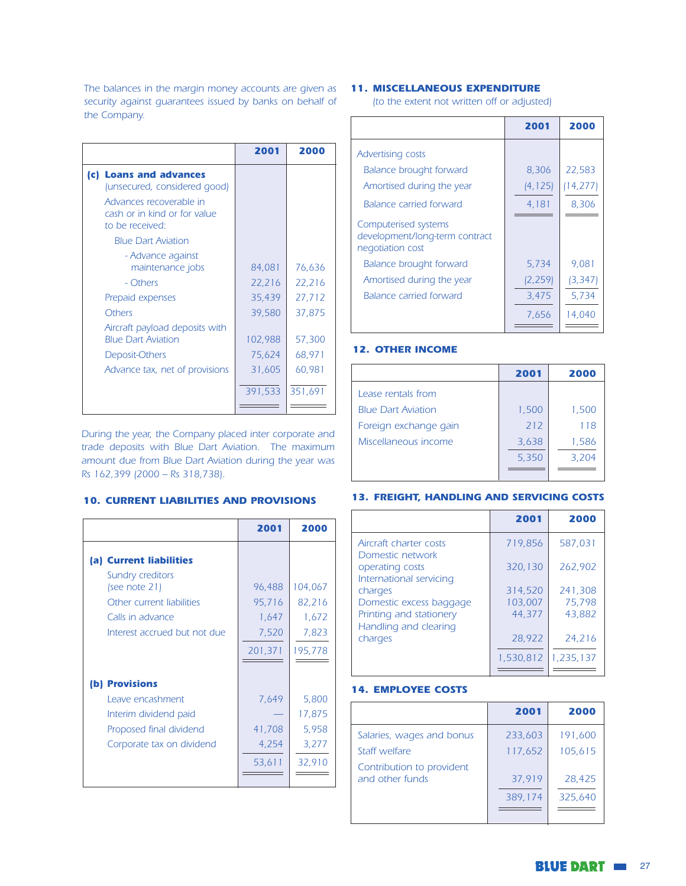The balances in the margin money accounts are given as **11. MISCELLANEOUS EXPENDITURE** security against guarantees issued by banks on behalf of the Company.

|                                                                            | 2001    | 2000    |
|----------------------------------------------------------------------------|---------|---------|
| <b>Loans and advances</b><br>(c)  <br>(unsecured, considered good)         |         |         |
| Advances recoverable in<br>cash or in kind or for value<br>to be received: |         |         |
| <b>Blue Dart Aviation</b>                                                  |         |         |
| - Advance against<br>maintenance jobs                                      | 84,081  | 76,636  |
| - Others                                                                   | 22,216  | 22,216  |
| Prepaid expenses                                                           | 35,439  | 27,712  |
| <b>Others</b>                                                              | 39,580  | 37,875  |
| Aircraft payload deposits with<br><b>Blue Dart Aviation</b>                | 102,988 | 57,300  |
| Deposit-Others                                                             | 75,624  | 68,971  |
| Advance tax, net of provisions                                             | 31,605  | 60,981  |
|                                                                            | 391,533 | 351,691 |
|                                                                            |         |         |

During the year, the Company placed inter corporate and trade deposits with Blue Dart Aviation. The maximum amount due from Blue Dart Aviation during the year was Rs 162,399 (2000 - Rs 318,738).

## **10. CURRENT LIABILITIES AND PROVISIONS**

|                                                                               | 2001                     | 2000                     |
|-------------------------------------------------------------------------------|--------------------------|--------------------------|
| (a) Current liabilities                                                       |                          |                          |
| Sundry creditors<br>(see note 21)                                             | 96,488                   | 104,067                  |
| Other current liabilities<br>Calls in advance<br>Interest accrued but not due | 95,716<br>1,647<br>7,520 | 82,216<br>1,672<br>7,823 |
|                                                                               | 201,371                  | 195,778                  |
| (b) Provisions                                                                |                          |                          |
| Leave encashment                                                              | 7,649                    | 5,800                    |
| Interim dividend paid                                                         |                          | 17,875                   |
| Proposed final dividend                                                       | 41,708                   | 5,958                    |
| Corporate tax on dividend                                                     | 4,254                    | 3,277                    |
|                                                                               | 53,611                   | 32,910                   |

(to the extent not written off or adjusted)

|                                                                            | 2001     | 2000     |
|----------------------------------------------------------------------------|----------|----------|
| <b>Advertising costs</b>                                                   |          |          |
| <b>Balance brought forward</b>                                             | 8,306    | 22,583   |
| Amortised during the year                                                  | (4, 125) | 14,277)  |
| <b>Balance carried forward</b>                                             | 4,181    | 8,306    |
| Computerised systems<br>development/long-term contract<br>negotiation cost |          |          |
| <b>Balance brought forward</b>                                             | 5,734    | 9.081    |
| Amortised during the year                                                  | (2, 259) | (3, 347) |
| <b>Balance carried forward</b>                                             | 3,475    | 5,734    |
|                                                                            | 7,656    | 14,040   |

#### **12. OTHER INCOME**

|                           | 2001  | 2000  |
|---------------------------|-------|-------|
| Lease rentals from        |       |       |
| <b>Blue Dart Aviation</b> | 1,500 | 1,500 |
| Foreign exchange gain     | 212   | 118   |
| Miscellaneous income      | 3,638 | 1,586 |
|                           | 5,350 | 3.204 |
|                           |       |       |

#### **13. FREIGHT, HANDLING AND SERVICING COSTS**

|                                                                | 2001      | 2000      |
|----------------------------------------------------------------|-----------|-----------|
| Aircraft charter costs                                         | 719.856   | 587.031   |
| Domestic network<br>operating costs<br>International servicing | 320,130   | 262.902   |
| charges                                                        | 314,520   | 241,308   |
| Domestic excess baggage                                        | 103.007   | 75,798    |
| Printing and stationery                                        | 44.377    | 43.882    |
| Handling and clearing                                          |           |           |
| charges                                                        | 28,922    | 24,216    |
|                                                                | 1,530,812 | 1,235,137 |
|                                                                |           |           |

#### **14. EMPLOYEE COSTS**

|                                              | 2001    | 2000    |
|----------------------------------------------|---------|---------|
| Salaries, wages and bonus                    | 233,603 | 191,600 |
| Staff welfare                                | 117,652 | 105,615 |
| Contribution to provident<br>and other funds | 37,919  | 28.425  |
|                                              | 389,174 | 325,640 |
|                                              |         |         |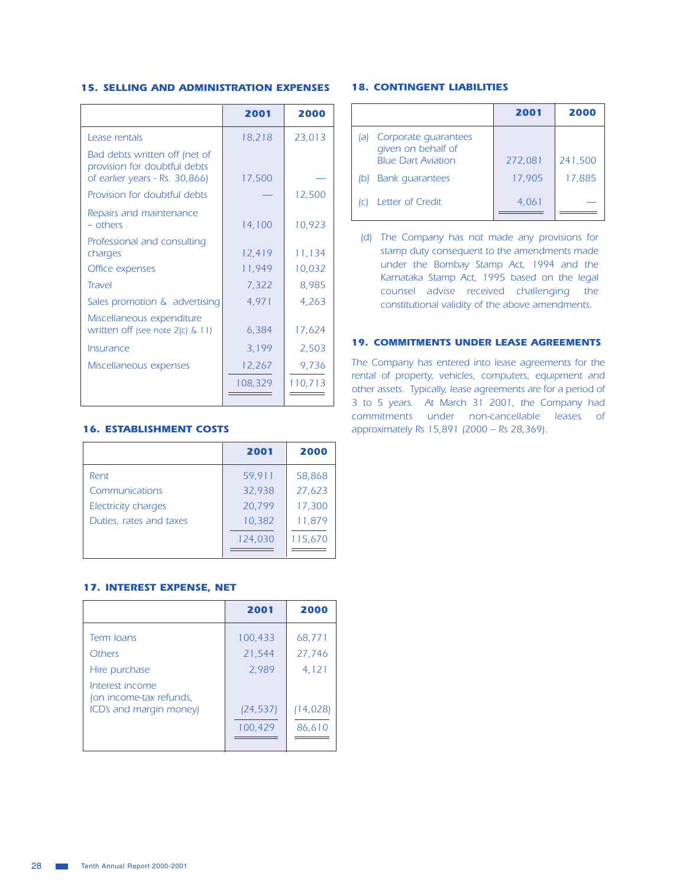#### **15. SELLING AND ADMINISTRATION EXPENSES**

|                                                                                                 | 2001    | 2000    |
|-------------------------------------------------------------------------------------------------|---------|---------|
| Lease rentals                                                                                   | 18,218  | 23,013  |
| Bad debts written off (net of<br>provision for doubtful debts<br>of earlier years - Rs. 30,866) | 17,500  |         |
| Provision for doubtful debts                                                                    |         | 12,500  |
| Repairs and maintenance<br>$-$ others                                                           | 14,100  | 10,923  |
| Professional and consulting<br>charges                                                          | 12,419  | 11,134  |
| Office expenses                                                                                 | 11,949  | 10,032  |
| <b>Travel</b>                                                                                   | 7,322   | 8,985   |
| Sales promotion & advertising                                                                   | 4,971   | 4,263   |
| Miscellaneous expenditure<br>written off (see note $2(c)$ & 11)                                 | 6,384   | 17,624  |
| Insurance                                                                                       | 3,199   | 2,503   |
| Miscellaneous expenses                                                                          | 12,267  | 9,736   |
|                                                                                                 | 108,329 | 110,713 |

#### **16. ESTABLISHMENT COSTS**

|                            | 2001    | 2000    |
|----------------------------|---------|---------|
| Rent                       | 59,911  | 58,868  |
| Communications             | 32,938  | 27,623  |
| <b>Electricity charges</b> | 20.799  | 17,300  |
| Duties, rates and taxes    | 10,382  | 11,879  |
|                            | 124,030 | 115.670 |
|                            |         |         |

#### **17. INTEREST EXPENSE, NET**

|                                                             | 2001                | 2000                |
|-------------------------------------------------------------|---------------------|---------------------|
| Term Joans<br>Others                                        | 100,433<br>21,544   | 68,771<br>27,746    |
| Hire purchase<br>Interest income<br>(on income-tax refunds, | 2,989               | 4,121               |
| ICD's and margin money)                                     | (24,537)<br>100,429 | (14, 028)<br>86,610 |

#### **18. CONTINGENT LIABILITIES**

|     |                                                                         | 2001    | 2000    |
|-----|-------------------------------------------------------------------------|---------|---------|
| lal | Corporate quarantees<br>given on behalf of<br><b>Blue Dart Aviation</b> | 272,081 | 241,500 |
|     | <b>Bank</b> quarantees                                                  | 17,905  | 17,885  |
|     | Letter of Credit                                                        | 4.061   |         |

(d) The Company has not made any provisions for stamp duty consequent to the amendments made under the Bombay Stamp Act, 1994 and the Karnataka Stamp Act, 1995 based on the legal counsel advise received challenging the constitutional validity of the above amendments.

#### **19. COMMITMENTS UNDER LEASE AGREEMENTS**

The Company has entered into lease agreements for the rental of property, vehicles, computers, equipment and other assets. Typically, lease agreements are for a period of 3 to 5 years. At March 31 2001, the Company had commitments under non-cancellable leases of approximately Rs 15,891 (2000 - Rs 28,369).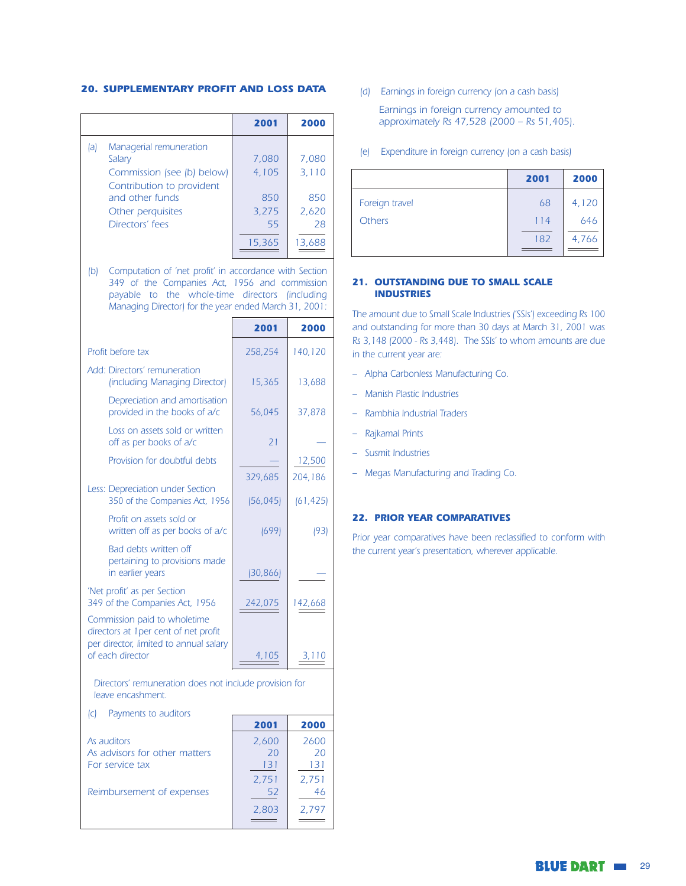#### **20. SUPPLEMENTARY PROFIT AND LOSS DATA**

|    |                                                                                                                                                                                                                    | 2001                                 | 2000    |
|----|--------------------------------------------------------------------------------------------------------------------------------------------------------------------------------------------------------------------|--------------------------------------|---------|
| a  | Managerial remuneration                                                                                                                                                                                            |                                      |         |
|    | Salary                                                                                                                                                                                                             | 7,080                                | 7,080   |
|    | Commission (see (b) below)<br>Contribution to provident                                                                                                                                                            | 4,105                                | 3,110   |
|    | and other funds                                                                                                                                                                                                    | 850                                  | 850     |
|    | Other perquisites                                                                                                                                                                                                  | 3,275                                | 2,620   |
|    | Directors' fees                                                                                                                                                                                                    | 55                                   | 28      |
|    |                                                                                                                                                                                                                    | 15,365                               | 13,688  |
| (b | Computation of 'net profit' in accordance with Section<br>349 of the Companies Act, 1956 and commission<br>payable to the whole-time directors (including<br>Managing Director) for the year ended March 31, 2001: |                                      |         |
|    |                                                                                                                                                                                                                    | 2001                                 | 2000    |
|    | Profit before tax                                                                                                                                                                                                  | 258,254                              | 140,120 |
|    | Add: Directors' remuneration<br>(including Managing Director)                                                                                                                                                      | 15,365                               | 13,688  |
|    | Depreciation and amortisation<br>المتراكب والمستحيل والمستقلة والمستقلة والمستحدث                                                                                                                                  | $\Gamma$ / $\cap$ $\Lambda$ $\Gamma$ | 27.070  |

|                                                                                                                                     | 2001        | 2000       |
|-------------------------------------------------------------------------------------------------------------------------------------|-------------|------------|
| Profit before tax                                                                                                                   | 258,254     | 140,120    |
| Add: Directors' remuneration<br>(including Managing Director)                                                                       | 15,365      | 13,688     |
| Depreciation and amortisation<br>provided in the books of a/c                                                                       | 56,045      | 37,878     |
| Loss on assets sold or written<br>off as per books of a/c                                                                           | 21          |            |
| Provision for doubtful debts                                                                                                        |             | 12,500     |
|                                                                                                                                     | 329,685     | 204,186    |
| Less: Depreciation under Section<br>350 of the Companies Act, 1956                                                                  | (56, 045)   | (61, 425)  |
| Profit on assets sold or<br>written off as per books of a/c                                                                         | (699)       | (93)       |
| Bad debts written off<br>pertaining to provisions made<br>in earlier years                                                          | [30, 866]   |            |
| 'Net profit' as per Section<br>349 of the Companies Act, 1956                                                                       | 242,075     | 142,668    |
| Commission paid to wholetime<br>directors at 1 per cent of net profit<br>per director, limited to annual salary<br>of each director | 4,105       | 3,110      |
| Directors' remuneration does not include provision for<br>leave encashment.                                                         |             |            |
| Payments to auditors<br>(C)                                                                                                         |             |            |
|                                                                                                                                     | 2001        | 2000       |
| As auditors<br>As advisors for other matters                                                                                        | 2,600<br>20 | 2600<br>20 |
| For service tax                                                                                                                     | 131         | 131        |
|                                                                                                                                     | 2,751       | 2,751      |
| Reimbursement of expenses                                                                                                           | 52          | 46         |
|                                                                                                                                     | 2,803       | 2,797      |

(d) Earnings in foreign currency (on a cash basis)

Earnings in foreign currency amounted to approximately Rs 47,528 (2000 - Rs 51,405).

(e) Expenditure in foreign currency (on a cash basis)

|                | 2001 | 2000  |
|----------------|------|-------|
| Foreign travel | 68   | 4,120 |
| <b>Others</b>  | 114  | 646   |
|                | 182  | 4,766 |
|                |      |       |

#### 21. OUTSTANDING DUE TO SMALL SCALE **INDUSTRIES**

The amount due to Small Scale Industries ('SSIs') exceeding Rs 100 and outstanding for more than 30 days at March 31, 2001 was Rs 3,148 (2000 - Rs 3,448). The SSIs' to whom amounts are due in the current year are:

- Alpha Carbonless Manufacturing Co.
- Manish Plastic Industries
- Rambhia Industrial Traders
- Rajkamal Prints
- Susmit Industries
- Megas Manufacturing and Trading Co.

#### **22. PRIOR YEAR COMPARATIVES**

Prior year comparatives have been reclassified to conform with the current year's presentation, wherever applicable.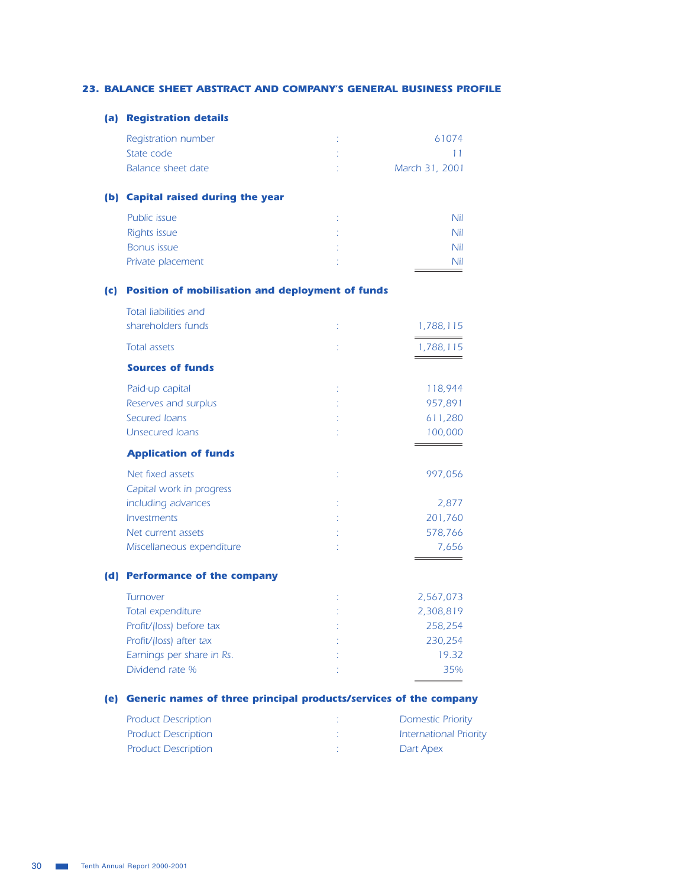#### 23. BALANCE SHEET ABSTRACT AND COMPANY'S GENERAL BUSINESS PROFILE

#### (a) Registration details

| Registration number | 61074          |
|---------------------|----------------|
| State code          |                |
| Balance sheet date  | March 31, 2001 |

#### (b) Capital raised during the year

| Public issue      | Nii |
|-------------------|-----|
| Rights issue      | Nil |
| Bonus issue       | Nil |
| Private placement | Nil |
|                   |     |

#### (c) Position of mobilisation and deployment of funds

|     | <b>Total liabilities and</b>      |           |
|-----|-----------------------------------|-----------|
|     | shareholders funds                | 1,788,115 |
|     | <b>Total assets</b>               | 1,788,115 |
|     | <b>Sources of funds</b>           |           |
|     | Paid-up capital                   | 118,944   |
|     | Reserves and surplus              | 957,891   |
|     | Secured Joans                     | 611,280   |
|     | <b>Unsecured Ioans</b>            | 100,000   |
|     | <b>Application of funds</b>       |           |
|     | Net fixed assets                  | 997,056   |
|     | Capital work in progress          |           |
|     | including advances                | 2,877     |
|     | Investments                       | 201,760   |
|     | Net current assets                | 578,766   |
|     | Miscellaneous expenditure         | 7,656     |
| (d) | <b>Performance of the company</b> |           |
|     | Turnover                          | 2,567,073 |
|     | Total expenditure                 | 2,308,819 |
|     | Profit/(loss) before tax          | 258,254   |
|     | Profit/(loss) after tax           | 230,254   |
|     | Earnings per share in Rs.         | 19.32     |

#### (e) Generic names of three principal products/services of the company

| <b>Product Description</b> | <b>Domestic Priority</b>      |
|----------------------------|-------------------------------|
| <b>Product Description</b> | <b>International Priority</b> |
| <b>Product Description</b> | Dart Apex                     |

 $\mathcal{D}^{(1)}$ 

35%

 $\equiv$ 

 $\equiv$ 

Dividend rate %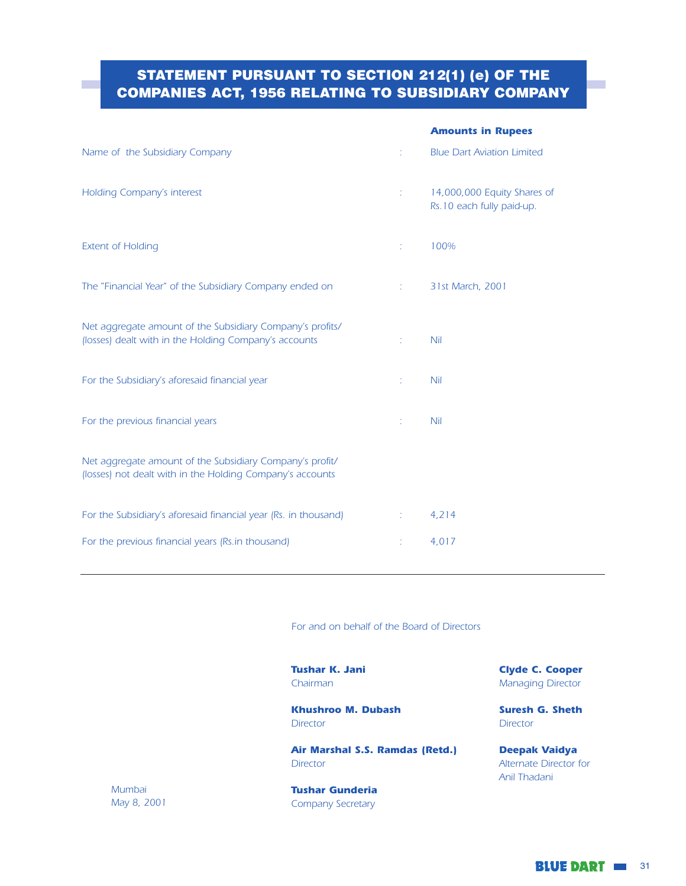## **STATEMENT PURSUANT TO SECTION 212(1) (e) OF THE COMPANIES ACT, 1956 RELATING TO SUBSIDIARY COMPANY**

|                                                                                                                       |                        | <b>Amounts in Rupees</b>                                 |
|-----------------------------------------------------------------------------------------------------------------------|------------------------|----------------------------------------------------------|
| Name of the Subsidiary Company                                                                                        |                        | <b>Blue Dart Aviation Limited</b>                        |
| <b>Holding Company's interest</b>                                                                                     | Ť.                     | 14,000,000 Equity Shares of<br>Rs.10 each fully paid-up. |
| <b>Extent of Holding</b>                                                                                              | ÷.                     | 100%                                                     |
| The "Financial Year" of the Subsidiary Company ended on                                                               | <b>The Corporation</b> | 31st March, 2001                                         |
| Net aggregate amount of the Subsidiary Company's profits/<br>(losses) dealt with in the Holding Company's accounts    | ÷.                     | <b>Nil</b>                                               |
| For the Subsidiary's aforesaid financial year                                                                         | t.                     | <b>Nil</b>                                               |
| For the previous financial years                                                                                      | Ť.                     | <b>Nil</b>                                               |
| Net aggregate amount of the Subsidiary Company's profit/<br>(losses) not dealt with in the Holding Company's accounts |                        |                                                          |
| For the Subsidiary's aforesaid financial year (Rs. in thousand)                                                       |                        | 4,214                                                    |
| For the previous financial years (Rs.in thousand)                                                                     | Ť,                     | 4,017                                                    |
|                                                                                                                       |                        |                                                          |

For and on behalf of the Board of Directors

**Tushar K. Jani** Chairman

Khushroo M. Dubash **Director** 

Air Marshal S.S. Ramdas (Retd.) Director

Mumbai May 8, 2001 **Tushar Gunderia** Company Secretary

**Clyde C. Cooper Managing Director** 

**Suresh G. Sheth Director** 

**Deepak Vaidya** Alternate Director for Anil Thadani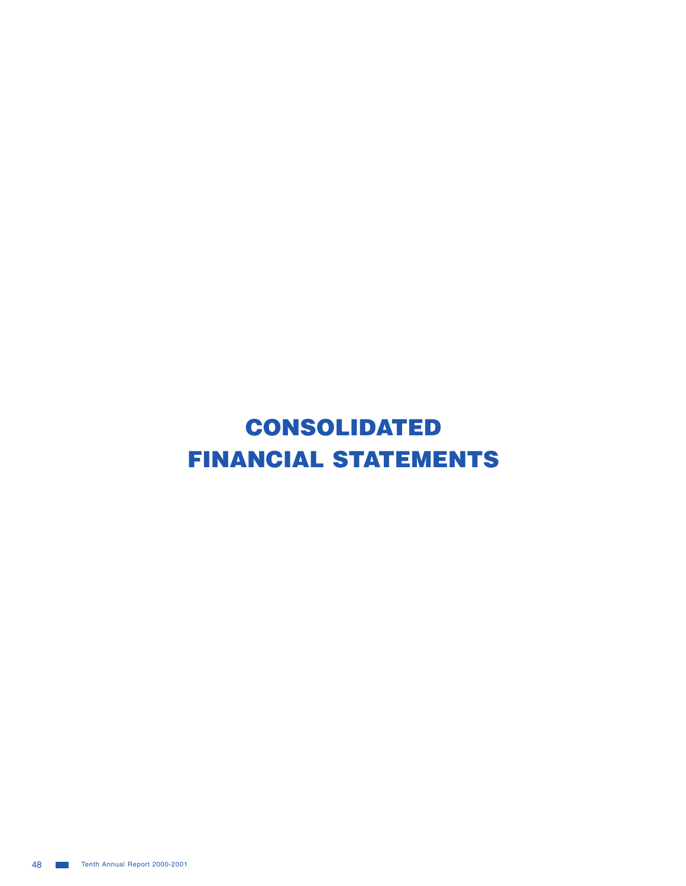# CONSOLIDATED **FINANCIAL STATEMENTS**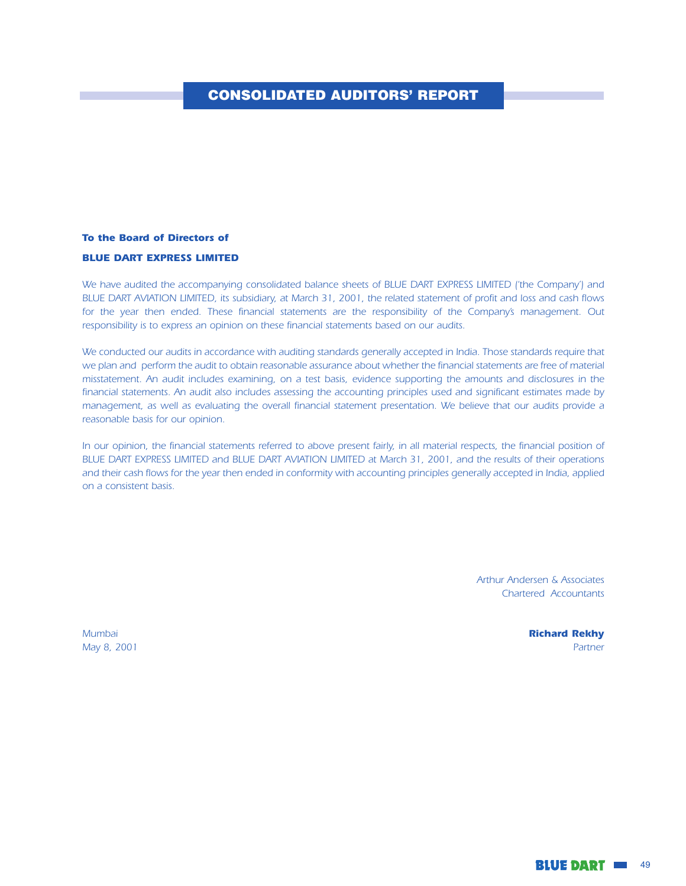## **CONSOLIDATED AUDITORS' REPORT**

## To the Board of Directors of **BLUE DART EXPRESS LIMITED**

We have audited the accompanying consolidated balance sheets of BLUE DART EXPRESS LIMITED ('the Company') and BLUE DART AVIATION LIMITED, its subsidiary, at March 31, 2001, the related statement of profit and loss and cash flows for the year then ended. These financial statements are the responsibility of the Company's management. Out responsibility is to express an opinion on these financial statements based on our audits.

We conducted our audits in accordance with auditing standards generally accepted in India. Those standards require that we plan and perform the audit to obtain reasonable assurance about whether the financial statements are free of material misstatement. An audit includes examining, on a test basis, evidence supporting the amounts and disclosures in the financial statements. An audit also includes assessing the accounting principles used and significant estimates made by management, as well as evaluating the overall financial statement presentation. We believe that our audits provide a reasonable basis for our opinion.

In our opinion, the financial statements referred to above present fairly, in all material respects, the financial position of BLUE DART EXPRESS LIMITED and BLUE DART AVIATION LIMITED at March 31, 2001, and the results of their operations and their cash flows for the year then ended in conformity with accounting principles generally accepted in India, applied on a consistent basis.

> **Arthur Andersen & Associates Chartered Accountants**

Mumbai May 8, 2001 **Richard Rekhy** Partner

**BLUE DART III** 49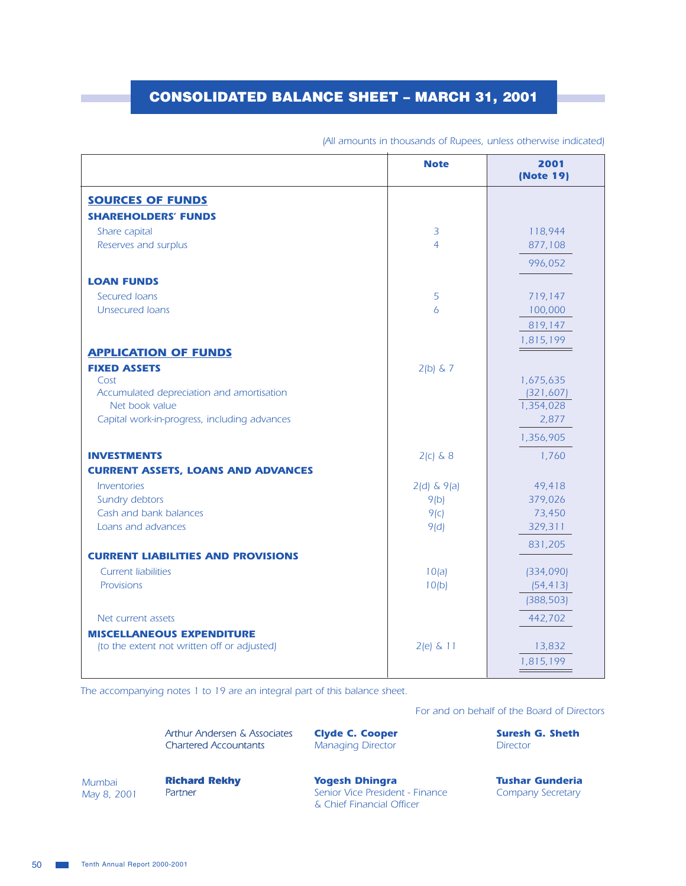## **CONSOLIDATED BALANCE SHEET - MARCH 31, 2001**

|                                              | <b>Note</b>     | 2001<br>(Note 19) |
|----------------------------------------------|-----------------|-------------------|
| <b>SOURCES OF FUNDS</b>                      |                 |                   |
| <b>SHAREHOLDERS' FUNDS</b>                   |                 |                   |
| Share capital                                | $\overline{3}$  | 118,944           |
| Reserves and surplus                         | $\overline{4}$  | 877,108           |
|                                              |                 | 996,052           |
| <b>LOAN FUNDS</b>                            |                 |                   |
| Secured Ioans                                | 5               | 719,147           |
| <b>Unsecured loans</b>                       | 6               | 100,000           |
|                                              |                 | 819,147           |
|                                              |                 | 1,815,199         |
| <b>APPLICATION OF FUNDS</b>                  |                 |                   |
| <b>FIXED ASSETS</b><br>Cost                  | $2(b)$ & 7      | 1,675,635         |
| Accumulated depreciation and amortisation    |                 | (321, 607)        |
| Net book value                               |                 | 1,354,028         |
| Capital work-in-progress, including advances |                 | 2,877             |
|                                              |                 | 1,356,905         |
| <b>INVESTMENTS</b>                           | $2(c)$ & 8      | 1,760             |
| <b>CURRENT ASSETS, LOANS AND ADVANCES</b>    |                 |                   |
| Inventories                                  | $2(d)$ & $9(a)$ | 49,418            |
| Sundry debtors                               | 9(b)            | 379,026           |
| Cash and bank balances                       | 9(c)            | 73,450            |
| Loans and advances                           | 9(d)            | 329,311           |
| <b>CURRENT LIABILITIES AND PROVISIONS</b>    |                 | 831,205           |
| <b>Current liabilities</b>                   | 10(a)           | (334,090)         |
| Provisions                                   | 10(b)           | (54, 413)         |
|                                              |                 | (388, 503)        |
| Net current assets                           |                 | 442,702           |
| <b>MISCELLANEOUS EXPENDITURE</b>             |                 |                   |
| (to the extent not written off or adjusted)  | $2(e)$ & 11     | 13,832            |
|                                              |                 | 1,815,199         |

#### (All amounts in thousands of Rupees, unless otherwise indicated)

The accompanying notes 1 to 19 are an integral part of this balance sheet.

For and on behalf of the Board of Directors

| Arthur Andersen & Associates | <b>Civde C. Cooper</b>   | <b>Suresh G. Sheth</b> |
|------------------------------|--------------------------|------------------------|
| <b>Chartered Accountants</b> | <b>Managing Director</b> | Director               |
|                              |                          |                        |
|                              |                          |                        |

Mumbai May 8, 2001

**Richard Rekhy** Partner

**Yogesh Dhingra** Senior Vice President - Finance & Chief Financial Officer

**Tushar Gunderia Company Secretary**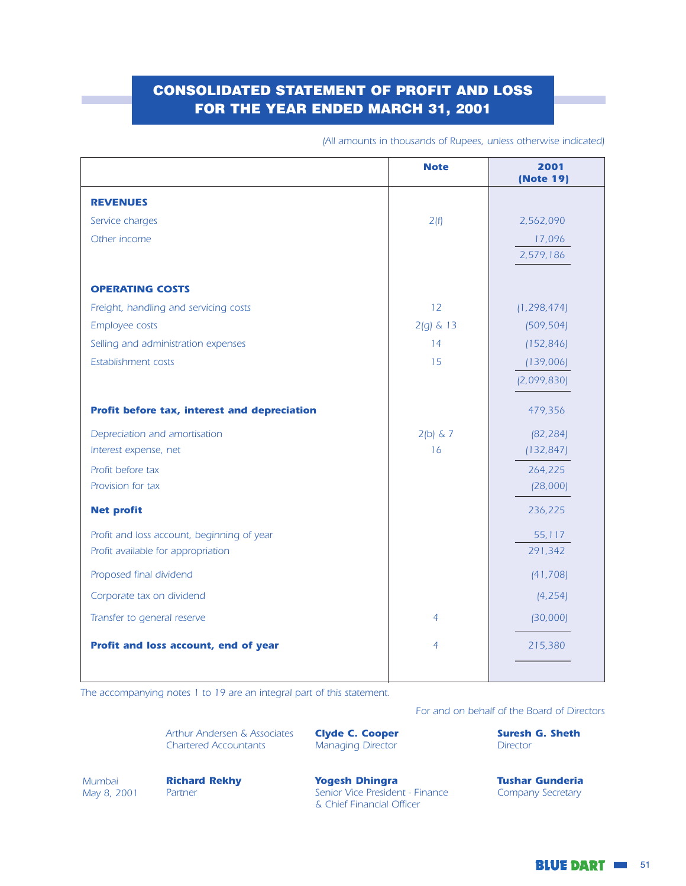## **CONSOLIDATED STATEMENT OF PROFIT AND LOSS** FOR THE YEAR ENDED MARCH 31, 2001

|                                              | <b>Note</b>    | 2001<br>(Note 19) |
|----------------------------------------------|----------------|-------------------|
| <b>REVENUES</b>                              |                |                   |
| Service charges                              | 2(f)           | 2,562,090         |
| Other income                                 |                | 17,096            |
|                                              |                | 2,579,186         |
| <b>OPERATING COSTS</b>                       |                |                   |
| Freight, handling and servicing costs        | 12             | (1, 298, 474)     |
| Employee costs                               | $2(g)$ & 13    | (509, 504)        |
| Selling and administration expenses          | 14             | (152, 846)        |
| Establishment costs                          | 15             | (139,006)         |
|                                              |                | (2,099,830)       |
| Profit before tax, interest and depreciation |                | 479,356           |
| Depreciation and amortisation                | $2(b)$ & 7     | (82, 284)         |
| Interest expense, net                        | 16             | (132, 847)        |
| Profit before tax                            |                | 264,225           |
| Provision for tax                            |                | (28,000)          |
| <b>Net profit</b>                            |                | 236,225           |
| Profit and loss account, beginning of year   |                | 55,117            |
| Profit available for appropriation           |                | 291,342           |
| Proposed final dividend                      |                | (41, 708)         |
| Corporate tax on dividend                    |                | (4, 254)          |
| Transfer to general reserve                  | $\overline{4}$ | (30,000)          |
| Profit and loss account, end of year         | 4              | 215,380           |
|                                              |                |                   |

(All amounts in thousands of Rupees, unless otherwise indicated)

The accompanying notes 1 to 19 are an integral part of this statement.

For and on behalf of the Board of Directors

Arthur Andersen & Associates **Chartered Accountants** 

**Clyde C. Cooper** Managing Director

**Suresh G. Sheth Director** 

Mumbai May 8, 2001 **Richard Rekhy** Partner

**Yogesh Dhingra** Senior Vice President - Finance & Chief Financial Officer

**Tushar Gunderia** Company Secretary

**BLUE DART III 51**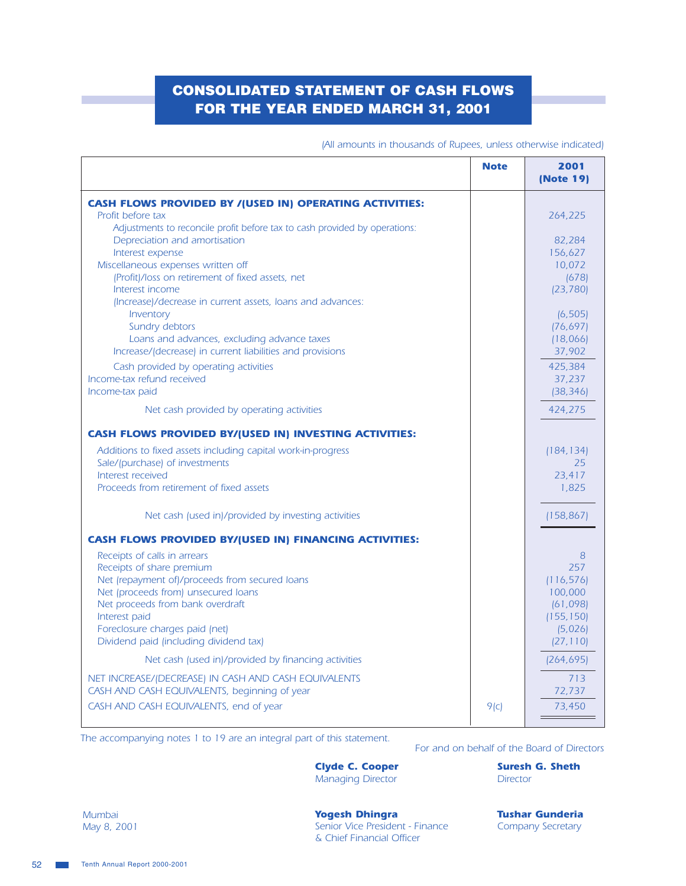## **CONSOLIDATED STATEMENT OF CASH FLOWS** FOR THE YEAR ENDED MARCH 31, 2001

|                                                                                                      | <b>Note</b> | 2001<br>(Note 19)     |
|------------------------------------------------------------------------------------------------------|-------------|-----------------------|
| <b>CASH FLOWS PROVIDED BY / (USED IN) OPERATING ACTIVITIES:</b>                                      |             |                       |
| Profit before tax                                                                                    |             | 264,225               |
| Adjustments to reconcile profit before tax to cash provided by operations:                           |             |                       |
| Depreciation and amortisation                                                                        |             | 82,284                |
| Interest expense                                                                                     |             | 156,627               |
| Miscellaneous expenses written off                                                                   |             | 10,072                |
| (Profit)/loss on retirement of fixed assets, net<br>Interest income                                  |             | (678)<br>(23, 780)    |
| (Increase)/decrease in current assets, loans and advances:                                           |             |                       |
| Inventory                                                                                            |             | (6, 505)              |
| Sundry debtors                                                                                       |             | (76, 697)             |
| Loans and advances, excluding advance taxes                                                          |             | (18,066)              |
| Increase/(decrease) in current liabilities and provisions                                            |             | 37,902                |
| Cash provided by operating activities                                                                |             | 425,384               |
| Income-tax refund received                                                                           |             | 37,237                |
| Income-tax paid                                                                                      |             | (38, 346)             |
| Net cash provided by operating activities                                                            |             | 424,275               |
| <b>CASH FLOWS PROVIDED BY/(USED IN) INVESTING ACTIVITIES:</b>                                        |             |                       |
| Additions to fixed assets including capital work-in-progress                                         |             | (184, 134)            |
| Sale/(purchase) of investments                                                                       |             | 25                    |
| Interest received                                                                                    |             | 23,417                |
| Proceeds from retirement of fixed assets                                                             |             | 1,825                 |
| Net cash (used in)/provided by investing activities                                                  |             | (158, 867)            |
| <b>CASH FLOWS PROVIDED BY/(USED IN) FINANCING ACTIVITIES:</b>                                        |             |                       |
| Receipts of calls in arrears                                                                         |             | 8                     |
| Receipts of share premium                                                                            |             | 257                   |
| Net (repayment of)/proceeds from secured loans                                                       |             | (116, 576)            |
| Net (proceeds from) unsecured loans                                                                  |             | 100,000               |
| Net proceeds from bank overdraft                                                                     |             | (61,098)              |
| Interest paid<br>Foreclosure charges paid (net)                                                      |             | (155, 150)<br>(5,026) |
| Dividend paid (including dividend tax)                                                               |             | (27, 110)             |
| Net cash (used in)/provided by financing activities                                                  |             | (264, 695)            |
|                                                                                                      |             |                       |
| NET INCREASE/(DECREASE) IN CASH AND CASH EQUIVALENTS<br>CASH AND CASH EQUIVALENTS, beginning of year |             | 713<br>72,737         |
| CASH AND CASH EQUIVALENTS, end of year                                                               |             |                       |
|                                                                                                      | 9(c)        | 73,450                |

(All amounts in thousands of Rupees, unless otherwise indicated)

The accompanying notes 1 to 19 are an integral part of this statement.

For and on behalf of the Board of Directors

**Clyde C. Cooper** Managing Director

**Suresh G. Sheth Director** 

Mumbai May 8, 2001 **Yogesh Dhingra** Senior Vice President - Finance & Chief Financial Officer

**Tushar Gunderia Company Secretary**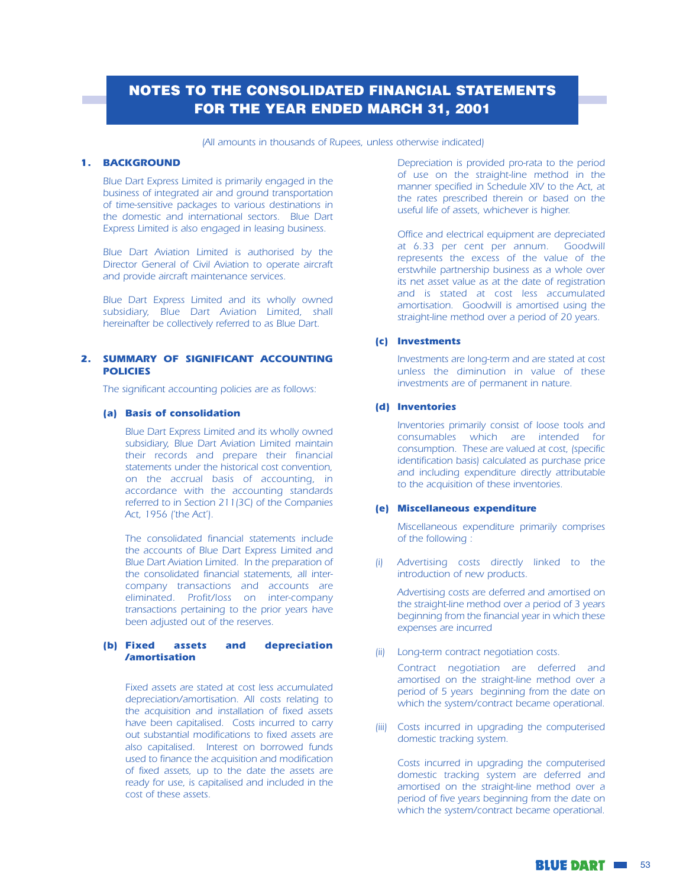## **NOTES TO THE CONSOLIDATED FINANCIAL STATEMENTS FOR THE YEAR ENDED MARCH 31, 2001**

#### (All amounts in thousands of Rupees, unless otherwise indicated)

#### **1. BACKGROUND**

Blue Dart Express Limited is primarily engaged in the business of integrated air and ground transportation of time-sensitive packages to various destinations in the domestic and international sectors. Blue Dart Express Limited is also engaged in leasing business.

Blue Dart Aviation Limited is authorised by the Director General of Civil Aviation to operate aircraft and provide aircraft maintenance services.

Blue Dart Express Limited and its wholly owned subsidiary, Blue Dart Aviation Limited, shall hereinafter be collectively referred to as Blue Dart.

#### 2. SUMMARY OF SIGNIFICANT ACCOUNTING **POLICIES**

The significant accounting policies are as follows:

#### (a) Basis of consolidation

Blue Dart Express Limited and its wholly owned subsidiary, Blue Dart Aviation Limited maintain their records and prepare their financial statements under the historical cost convention, on the accrual basis of accounting, in accordance with the accounting standards referred to in Section 211(3C) of the Companies Act, 1956 ('the Act').

The consolidated financial statements include the accounts of Blue Dart Express Limited and Blue Dart Aviation Limited. In the preparation of the consolidated financial statements, all intercompany transactions and accounts are eliminated. Profit/loss on inter-company transactions pertaining to the prior years have been adjusted out of the reserves.

#### (b) Fixed assets and depreciation **/amortisation**

Fixed assets are stated at cost less accumulated depreciation/amortisation. All costs relating to the acquisition and installation of fixed assets have been capitalised. Costs incurred to carry out substantial modifications to fixed assets are also capitalised. Interest on borrowed funds used to finance the acquisition and modification of fixed assets, up to the date the assets are ready for use, is capitalised and included in the cost of these assets.

Depreciation is provided pro-rata to the period of use on the straight-line method in the manner specified in Schedule XIV to the Act, at the rates prescribed therein or based on the useful life of assets, whichever is higher.

Office and electrical equipment are depreciated at 6.33 per cent per annum. Goodwill represents the excess of the value of the erstwhile partnership business as a whole over its net asset value as at the date of registration and is stated at cost less accumulated amortisation. Goodwill is amortised using the straight-line method over a period of 20 years.

#### (c) Investments

Investments are long-term and are stated at cost unless the diminution in value of these investments are of permanent in nature.

#### (d) Inventories

Inventories primarily consist of loose tools and consumables which are intended for consumption. These are valued at cost, (specific identification basis) calculated as purchase price and including expenditure directly attributable to the acquisition of these inventories.

#### (e) Miscellaneous expenditure

Miscellaneous expenditure primarily comprises of the following:

(i) Advertising costs directly linked to the introduction of new products.

Advertising costs are deferred and amortised on the straight-line method over a period of 3 years beginning from the financial year in which these expenses are incurred

(ii) Long-term contract negotiation costs.

Contract negotiation are deferred and amortised on the straight-line method over a period of 5 years beginning from the date on which the system/contract became operational.

(iii) Costs incurred in upgrading the computerised domestic tracking system.

Costs incurred in upgrading the computerised domestic tracking system are deferred and amortised on the straight-line method over a period of five years beginning from the date on which the system/contract became operational.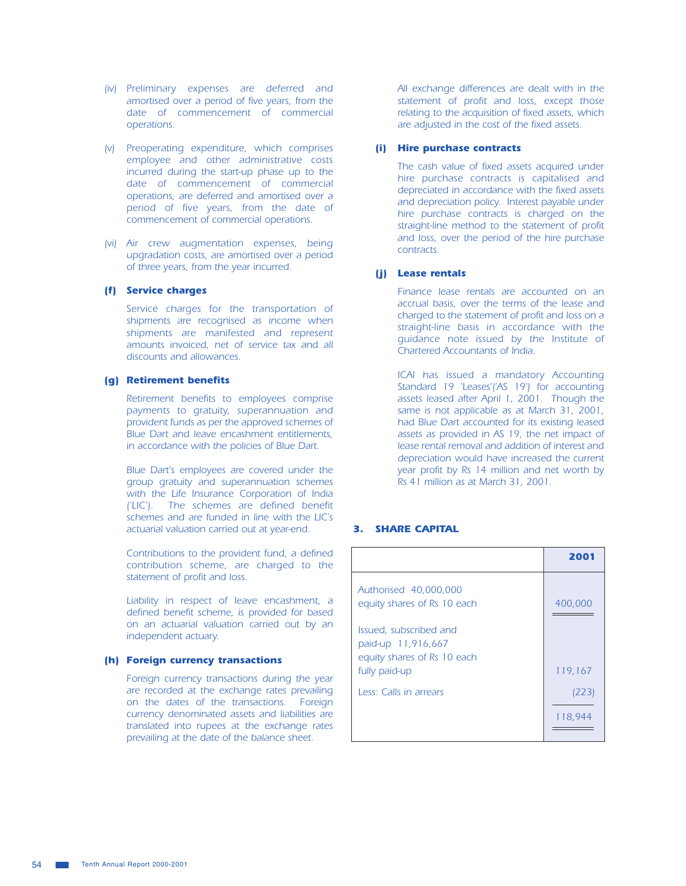- (iv) Preliminary expenses are deferred and amortised over a period of five years, from the date of commencement of commercial operations.
- (v) Preoperating expenditure, which comprises employee and other administrative costs incurred during the start-up phase up to the date of commencement of commercial operations, are deferred and amortised over a period of five years, from the date of commencement of commercial operations.
- (vi) Air crew augmentation expenses, being upgradation costs, are amortised over a period of three years, from the year incurred.

#### (f) Service charges

Service charges for the transportation of shipments are recognised as income when shipments are manifested and represent amounts invoiced, net of service tax and all discounts and allowances.

#### (g) Retirement benefits

Retirement benefits to employees comprise payments to gratuity, superannuation and provident funds as per the approved schemes of Blue Dart and leave encashment entitlements, in accordance with the policies of Blue Dart.

Blue Dart's employees are covered under the group gratuity and superannuation schemes with the Life Insurance Corporation of India ('LIC'). The schemes are defined benefit schemes and are funded in line with the LIC's actuarial valuation carried out at year-end.

Contributions to the provident fund, a defined contribution scheme, are charged to the statement of profit and loss.

Liability in respect of leave encashment, a defined benefit scheme, is provided for based on an actuarial valuation carried out by an independent actuary.

#### (h) Foreign currency transactions

Foreign currency transactions during the year are recorded at the exchange rates prevailing on the dates of the transactions. Foreign currency denominated assets and liabilities are translated into rupees at the exchange rates prevailing at the date of the balance sheet.

All exchange differences are dealt with in the statement of profit and loss, except those relating to the acquisition of fixed assets, which are adjusted in the cost of the fixed assets.

#### (i) Hire purchase contracts

The cash value of fixed assets acquired under hire purchase contracts is capitalised and depreciated in accordance with the fixed assets and depreciation policy. Interest payable under hire purchase contracts is charged on the straight-line method to the statement of profit and loss, over the period of the hire purchase contracts.

#### (i) Lease rentals

Finance lease rentals are accounted on an accrual basis, over the terms of the lease and charged to the statement of profit and loss on a straight-line basis in accordance with the quidance note issued by the Institute of Chartered Accountants of India.

ICAI has issued a mandatory Accounting Standard 19 'Leases'('AS 19') for accounting assets leased after April 1, 2001. Though the same is not applicable as at March 31, 2001, had Blue Dart accounted for its existing leased assets as provided in AS 19, the net impact of lease rental removal and addition of interest and depreciation would have increased the current year profit by Rs 14 million and net worth by Rs 41 million as at March 31, 2001.

## **3. SHARE CAPITAL**

|                                                                                              | 2001    |
|----------------------------------------------------------------------------------------------|---------|
| Authorised 40,000,000<br>equity shares of Rs 10 each                                         | 400,000 |
| Issued, subscribed and<br>paid-up 11,916,667<br>equity shares of Rs 10 each<br>fully paid-up | 119,167 |
| Less: Calls in arrears                                                                       | (223)   |
|                                                                                              | 118,944 |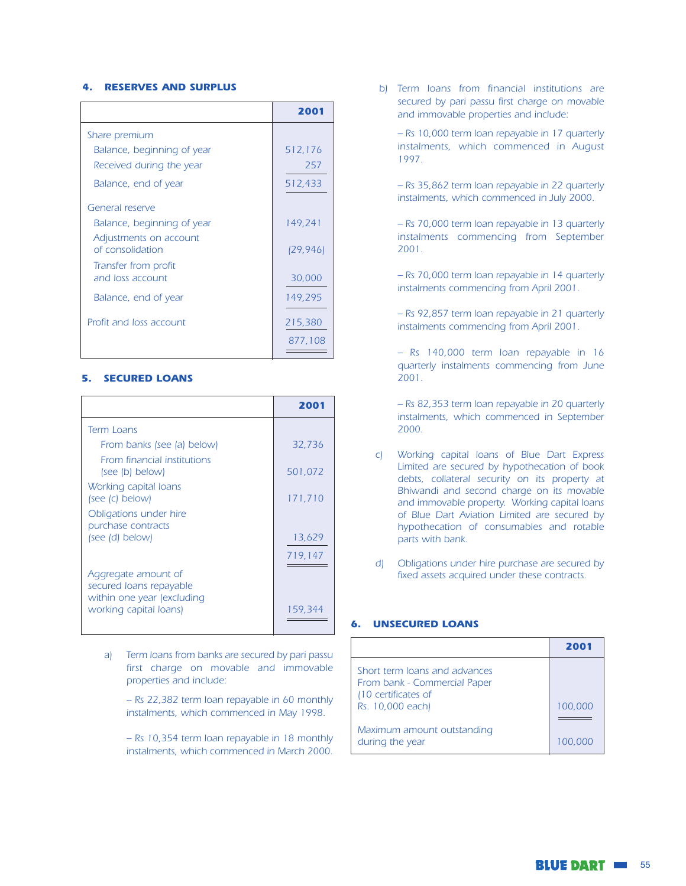#### **4. RESERVES AND SURPLUS**

|                                            | 2001      |
|--------------------------------------------|-----------|
| Share premium                              |           |
| Balance, beginning of year                 | 512,176   |
| Received during the year                   | 257       |
| Balance, end of year                       | 512,433   |
| General reserve                            |           |
| Balance, beginning of year                 | 149,241   |
| Adjustments on account<br>of consolidation | (29, 946) |
| Transfer from profit<br>and loss account   | 30,000    |
| Balance, end of year                       | 149,295   |
| Profit and loss account                    | 215,380   |
|                                            | 877.108   |

#### **5. SECURED LOANS**

|                                                       | 2001    |
|-------------------------------------------------------|---------|
| <b>Term Loans</b>                                     |         |
| From banks (see (a) below)                            | 32,736  |
| <b>From financial institutions</b><br>(see (b) below) | 501.072 |
| Working capital loans<br>(see (c) below)              | 171,710 |
| Obligations under hire<br>purchase contracts          |         |
| (see (d) below)                                       | 13,629  |
|                                                       | 719,147 |
| Aggregate amount of<br>secured loans repayable        |         |
| within one year (excluding<br>working capital loans)  | 159.344 |

- Term loans from banks are secured by pari passu a) first charge on movable and immovable properties and include:
	- Rs 22,382 term loan repayable in 60 monthly instalments, which commenced in May 1998.
	- Rs 10,354 term loan repayable in 18 monthly instalments, which commenced in March 2000.

b) Term loans from financial institutions are secured by pari passu first charge on movable and immovable properties and include:

- Rs 10,000 term loan repayable in 17 quarterly instalments, which commenced in August 1997.

- Rs 35,862 term loan repayable in 22 quarterly instalments, which commenced in July 2000.

- Rs 70,000 term loan repayable in 13 quarterly instalments commencing from September  $2001.$ 

- Rs 70,000 term loan repayable in 14 quarterly instalments commencing from April 2001.

- Rs 92,857 term loan repayable in 21 quarterly instalments commencing from April 2001.

- Rs 140,000 term loan repayable in 16 quarterly instalments commencing from June 2001.

- Rs 82,353 term loan repayable in 20 quarterly instalments, which commenced in September 2000.

- c) Working capital loans of Blue Dart Express Limited are secured by hypothecation of book debts, collateral security on its property at Bhiwandi and second charge on its movable and immovable property. Working capital loans of Blue Dart Aviation Limited are secured by hypothecation of consumables and rotable parts with bank.
- d) Obligations under hire purchase are secured by fixed assets acquired under these contracts.

#### 6. **UNSECURED LOANS**

|                                                                                      | 2001    |
|--------------------------------------------------------------------------------------|---------|
| Short term Joans and advances<br>From bank - Commercial Paper<br>(10 certificates of |         |
| Rs. 10,000 each)                                                                     | 100,000 |
|                                                                                      |         |
| Maximum amount outstanding<br>during the year                                        | 100,000 |

**BLUE DART III 55**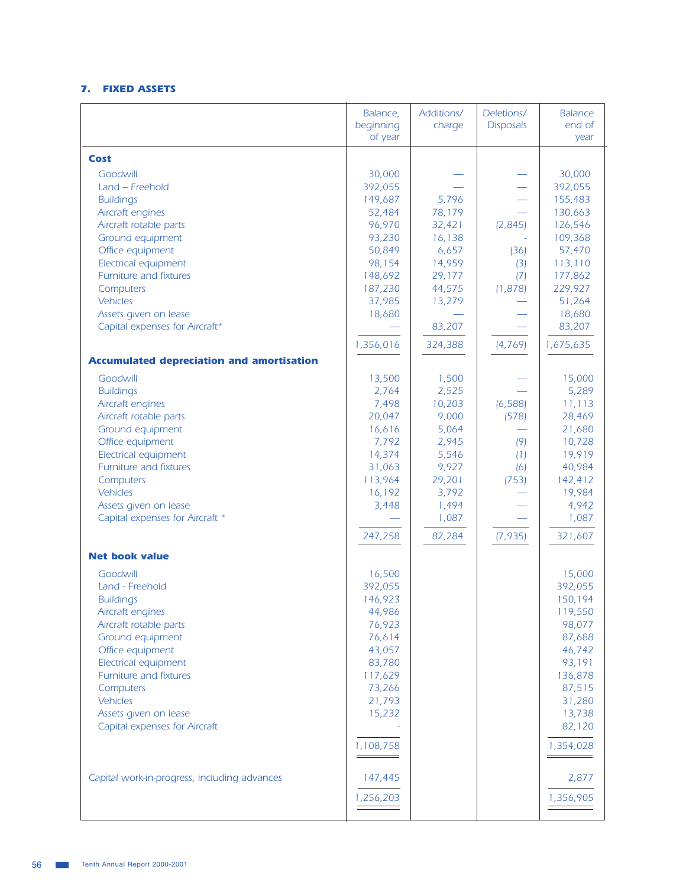## 7. FIXED ASSETS

|                                                                           | Balance,<br>beginning<br>of year | Additions/<br>charge              | Deletions/<br><b>Disposals</b> | <b>Balance</b><br>end of<br>year    |
|---------------------------------------------------------------------------|----------------------------------|-----------------------------------|--------------------------------|-------------------------------------|
| Cost                                                                      |                                  |                                   |                                |                                     |
| Goodwill<br>Land - Freehold<br><b>Buildings</b>                           | 30,000<br>392,055<br>149,687     | 5,796                             |                                | 30,000<br>392,055<br>155,483        |
| Aircraft engines<br>Aircraft rotable parts                                | 52,484<br>96,970                 | 78,179<br>32,421                  | (2,845)                        | 130,663<br>126,546                  |
| Ground equipment<br>Office equipment<br>Electrical equipment              | 93,230<br>50,849<br>98,154       | 16,138<br>6,657<br>14,959         | (36)<br>(3)                    | 109,368<br>57,470<br>113,110        |
| Furniture and fixtures<br>Computers                                       | 148,692<br>187,230               | 29,177<br>44,575                  | (7)<br>(1,878)                 | 177,862<br>229,927                  |
| <b>Vehicles</b><br>Assets given on lease                                  | 37,985<br>18,680                 | 13,279                            |                                | 51,264<br>18,680                    |
| Capital expenses for Aircraft*                                            | 1,356,016                        | 83,207<br>324,388                 | (4, 769)                       | 83,207<br>1,675,635                 |
| <b>Accumulated depreciation and amortisation</b>                          |                                  |                                   |                                |                                     |
| Goodwill<br><b>Buildings</b>                                              | 13,500<br>2,764                  | 1,500<br>2,525                    |                                | 15,000<br>5,289                     |
| Aircraft engines<br>Aircraft rotable parts                                | 7,498<br>20,047                  | 10,203<br>9,000                   | (6, 588)<br>(578)              | 11,113<br>28,469                    |
| Ground equipment<br>Office equipment<br>Electrical equipment              | 16,616<br>7,792<br>14,374        | 5,064<br>2,945<br>5,546           | (9)                            | 21,680<br>10,728<br>19,919          |
| Furniture and fixtures<br>Computers                                       | 31,063<br>113,964                | 9,927<br>29,201                   | (1)<br>(6)<br>(753)            | 40,984<br>142,412                   |
| Vehicles<br>Assets given on lease<br>Capital expenses for Aircraft *      | 16,192<br>3,448<br>247,258       | 3,792<br>1,494<br>1,087<br>82,284 | (7, 935)                       | 19,984<br>4,942<br>1,087<br>321,607 |
| <b>Net book value</b>                                                     |                                  |                                   |                                |                                     |
| Goodwill                                                                  | 16,500                           |                                   |                                | 15,000                              |
| Land - Freehold<br><b>Buildings</b><br>Aircraft engines                   | 392,055<br>146,923<br>44,986     |                                   |                                | 392,055<br>150,194<br>119,550       |
| Aircraft rotable parts<br>Ground equipment<br>Office equipment            | 76,923<br>76,614<br>43,057       |                                   |                                | 98,077<br>87,688<br>46,742          |
| Electrical equipment<br>Furniture and fixtures<br>Computers               | 83,780<br>117,629<br>73,266      |                                   |                                | 93,191<br>136,878<br>87,515         |
| <b>Vehicles</b><br>Assets given on lease<br>Capital expenses for Aircraft | 21,793<br>15,232                 |                                   |                                | 31,280<br>13,738<br>82,120          |
|                                                                           | 1,108,758<br>________            |                                   |                                | 1,354,028                           |
| Capital work-in-progress, including advances                              | 147,445<br>1,256,203             |                                   |                                | 2,877<br>1,356,905                  |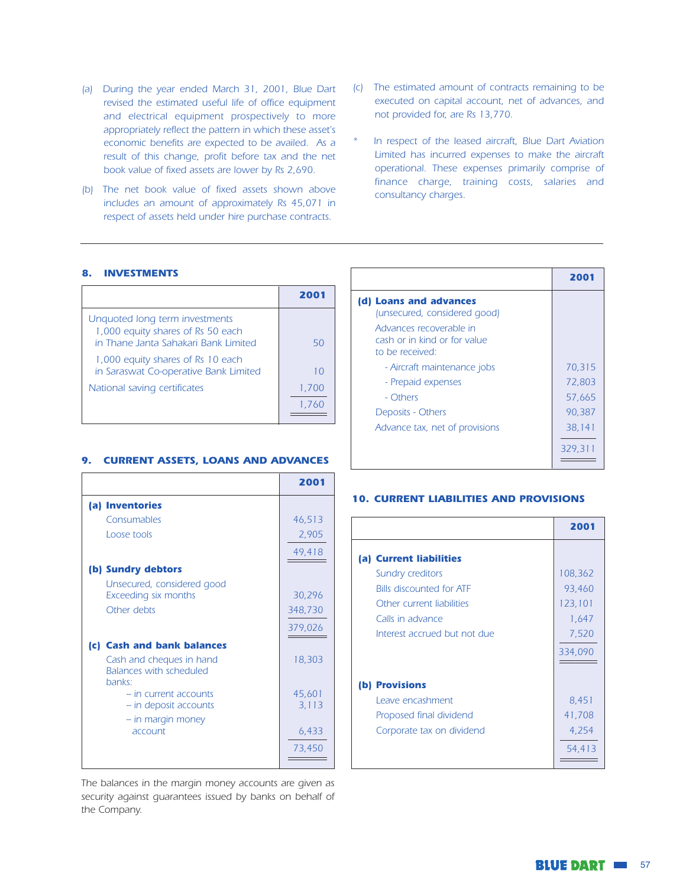- (a) During the year ended March 31, 2001, Blue Dart revised the estimated useful life of office equipment and electrical equipment prospectively to more appropriately reflect the pattern in which these asset's economic benefits are expected to be availed. As a result of this change, profit before tax and the net book value of fixed assets are lower by Rs 2,690.
- (b) The net book value of fixed assets shown above includes an amount of approximately Rs 45,071 in respect of assets held under hire purchase contracts.
- (c) The estimated amount of contracts remaining to be executed on capital account, net of advances, and not provided for, are Rs 13,770.
- In respect of the leased aircraft, Blue Dart Aviation Limited has incurred expenses to make the aircraft operational. These expenses primarily comprise of finance charge, training costs, salaries and consultancy charges.

#### 8. INVESTMENTS

|                                                                                                             | 200        |
|-------------------------------------------------------------------------------------------------------------|------------|
| Unquoted long term investments<br>1,000 equity shares of Rs 50 each<br>in Thane Janta Sahakari Bank Limited | 50         |
| 1,000 equity shares of Rs 10 each<br>in Saraswat Co-operative Bank Limited                                  | $1 \Omega$ |
| National saving certificates                                                                                | 1,700      |
|                                                                                                             | 1.760      |

#### 9. CURRENT ASSETS, LOANS AND ADVANCES

|                                                                      | 2001    |
|----------------------------------------------------------------------|---------|
| (a) Inventories                                                      |         |
| Consumables                                                          | 46,513  |
| Loose tools                                                          | 2,905   |
|                                                                      | 49,418  |
| (b) Sundry debtors                                                   |         |
| Unsecured, considered good<br>Exceeding six months                   | 30,296  |
| Other debts                                                          | 348,730 |
|                                                                      | 379,026 |
| (c) Cash and bank balances                                           |         |
| Cash and cheques in hand<br><b>Balances with scheduled</b><br>banks: | 18,303  |
| - in current accounts                                                | 45,601  |
| - in deposit accounts                                                | 3,113   |
| - in margin money                                                    |         |
| account                                                              | 6,433   |
|                                                                      | 73,450  |

The balances in the margin money accounts are given as security against quarantees issued by banks on behalf of the Company.

|                                                                            | 2001    |
|----------------------------------------------------------------------------|---------|
| (d) Loans and advances<br>(unsecured, considered good)                     |         |
| Advances recoverable in<br>cash or in kind or for value<br>to be received: |         |
| - Aircraft maintenance jobs                                                | 70,315  |
| - Prepaid expenses                                                         | 72,803  |
| - Others                                                                   | 57.665  |
| Deposits - Others                                                          | 90,387  |
| Advance tax, net of provisions                                             | 38,141  |
|                                                                            | 329,311 |

#### **10. CURRENT LIABILITIES AND PROVISIONS**

|                                 | 2001    |
|---------------------------------|---------|
| (a) Current liabilities         |         |
| Sundry creditors                | 108,362 |
| <b>Bills discounted for ATF</b> | 93,460  |
| Other current liabilities       | 123,101 |
| Calls in advance                | 1,647   |
| Interest accrued but not due    | 7,520   |
|                                 | 334,090 |
|                                 |         |
| <b>Provisions</b><br>(b)        |         |
| Leave encashment                | 8,451   |
| Proposed final dividend         | 41,708  |
| Corporate tax on dividend       | 4,254   |
|                                 | 54,413  |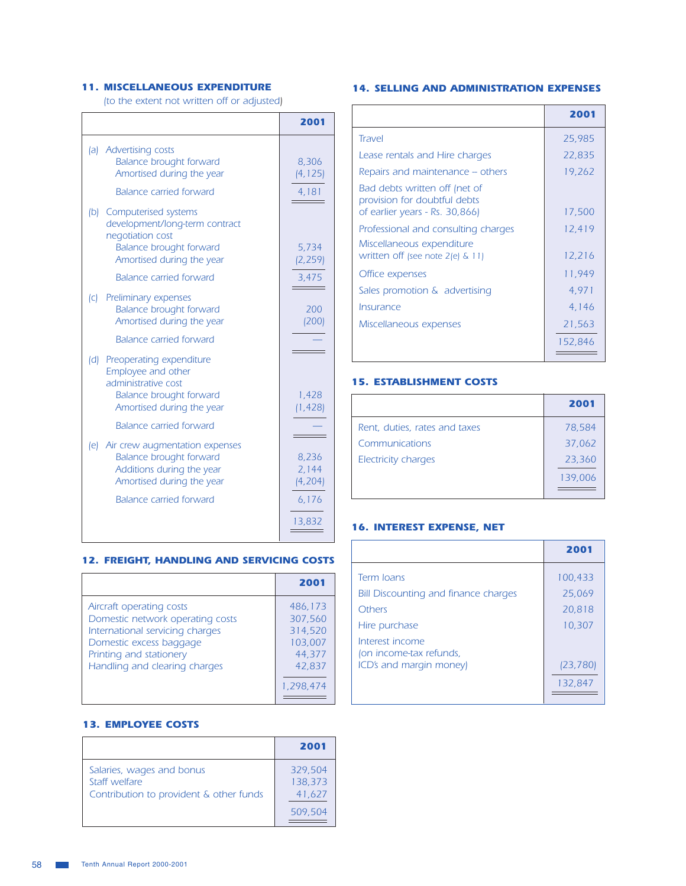## **11. MISCELLANEOUS EXPENDITURE**

 $\Gamma$ 

(to the extent not written off or adjusted)

 $\mathcal{L}(\mathcal{L})$ 

|     |                                                                                                                                      | 2001                       |
|-----|--------------------------------------------------------------------------------------------------------------------------------------|----------------------------|
| (a) | <b>Advertising costs</b><br><b>Balance brought forward</b><br>Amortised during the year                                              | 8,306<br>(4, 125)          |
|     | <b>Balance carried forward</b>                                                                                                       | 4,181                      |
| (b) | Computerised systems<br>development/long-term contract<br>negotiation cost<br><b>Balance brought forward</b>                         | 5,734                      |
|     | Amortised during the year                                                                                                            | (2, 259)                   |
|     | <b>Balance carried forward</b>                                                                                                       | 3,475                      |
| C   | Preliminary expenses<br><b>Balance brought forward</b><br>Amortised during the year                                                  | 200<br>(200)               |
|     | <b>Balance carried forward</b>                                                                                                       |                            |
| (d) | Preoperating expenditure<br>Employee and other<br>administrative cost<br><b>Balance brought forward</b><br>Amortised during the year | 1,428<br>(1, 428)          |
|     | <b>Balance carried forward</b>                                                                                                       |                            |
| (e) | Air crew augmentation expenses<br><b>Balance brought forward</b><br>Additions during the year<br>Amortised during the year           | 8,236<br>2,144<br>(4, 204) |
|     | <b>Balance carried forward</b>                                                                                                       | 6,176<br>13,832            |

#### **12. FREIGHT, HANDLING AND SERVICING COSTS**

|                                                                                                                                                                                        | 2001                                                                      |
|----------------------------------------------------------------------------------------------------------------------------------------------------------------------------------------|---------------------------------------------------------------------------|
| Aircraft operating costs<br>Domestic network operating costs<br>International servicing charges<br>Domestic excess baggage<br>Printing and stationery<br>Handling and clearing charges | 486,173<br>307,560<br>314,520<br>103,007<br>44.377<br>42,837<br>1,298,474 |

#### **13. EMPLOYEE COSTS**

|                                                                                       | 2001                         |
|---------------------------------------------------------------------------------------|------------------------------|
| Salaries, wages and bonus<br>Staff welfare<br>Contribution to provident & other funds | 329,504<br>138,373<br>41,627 |
|                                                                                       | 509,504                      |

#### **14. SELLING AND ADMINISTRATION EXPENSES**

|                                                                                                 | 2001    |
|-------------------------------------------------------------------------------------------------|---------|
| <b>Travel</b>                                                                                   | 25,985  |
| Lease rentals and Hire charges                                                                  | 22,835  |
| Repairs and maintenance – others                                                                | 19,262  |
| Bad debts written off (net of<br>provision for doubtful debts<br>of earlier years - Rs. 30,866) | 17,500  |
| Professional and consulting charges                                                             | 12,419  |
| Miscellaneous expenditure<br>written off (see note $2$ (e) $\& 11$ )                            | 12,216  |
| Office expenses                                                                                 | 11,949  |
| Sales promotion & advertising                                                                   | 4,971   |
| Insurance                                                                                       | 4,146   |
| Miscellaneous expenses                                                                          | 21,563  |
|                                                                                                 | 152,846 |

#### **15. ESTABLISHMENT COSTS**

|                               | 2001    |
|-------------------------------|---------|
| Rent, duties, rates and taxes | 78,584  |
| Communications                | 37,062  |
| Electricity charges           | 23,360  |
|                               | 139,006 |
|                               |         |

#### **16. INTEREST EXPENSE, NET**

|                                                           | 2001              |
|-----------------------------------------------------------|-------------------|
| Term Joans<br><b>Bill Discounting and finance charges</b> | 100,433<br>25,069 |
| Others                                                    | 20,818            |
| Hire purchase<br>Interest income                          | 10,307            |
| (on income-tax refunds,<br>ICD's and margin money)        | [23, 780]         |
|                                                           | 132,847           |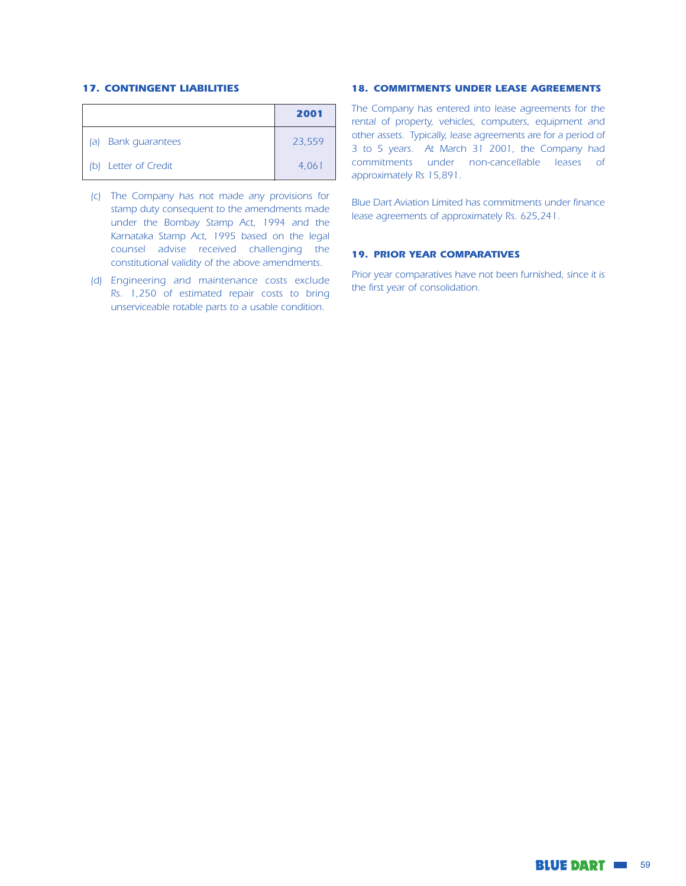#### **17. CONTINGENT LIABILITIES**

|                               | 2001   |
|-------------------------------|--------|
| <b>Bank quarantees</b><br>la) | 23,559 |
| (b) Letter of Credit          | 4,061  |

- (c) The Company has not made any provisions for stamp duty consequent to the amendments made under the Bombay Stamp Act, 1994 and the Karnataka Stamp Act, 1995 based on the legal counsel advise received challenging the constitutional validity of the above amendments.
- (d) Engineering and maintenance costs exclude Rs. 1,250 of estimated repair costs to bring unserviceable rotable parts to a usable condition.

#### **18. COMMITMENTS UNDER LEASE AGREEMENTS**

The Company has entered into lease agreements for the rental of property, vehicles, computers, equipment and other assets. Typically, lease agreements are for a period of 3 to 5 years. At March 31 2001, the Company had commitments under non-cancellable leases of approximately Rs 15,891.

Blue Dart Aviation Limited has commitments under finance lease agreements of approximately Rs. 625,241.

#### **19. PRIOR YEAR COMPARATIVES**

Prior year comparatives have not been furnished, since it is the first year of consolidation.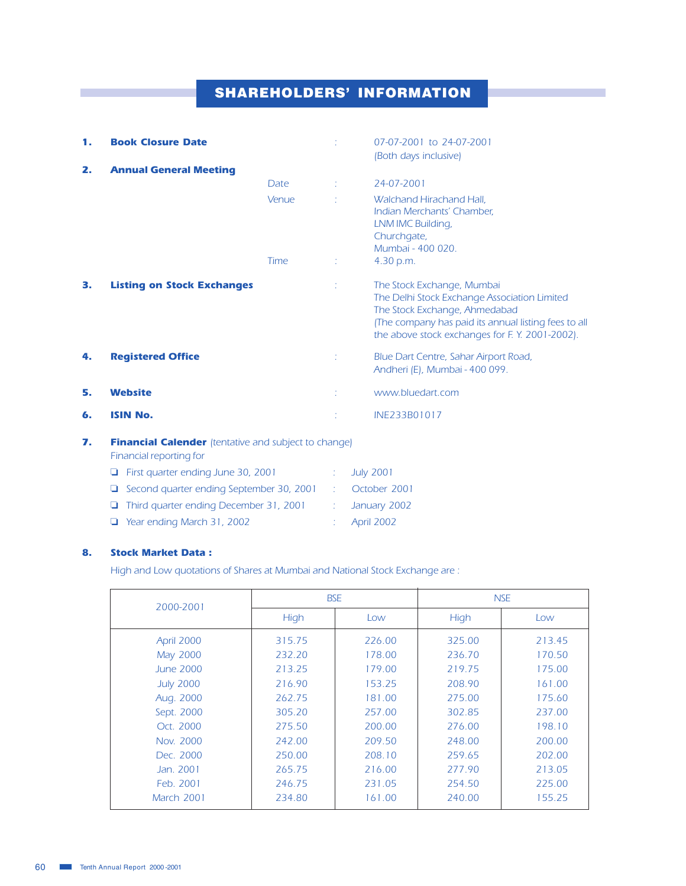# **SHAREHOLDERS' INFORMATION**

| 1. | <b>Book Closure Date</b>                                                               |       |    | 07-07-2001 to 24-07-2001<br>(Both days inclusive)                                                                                                                                                                     |
|----|----------------------------------------------------------------------------------------|-------|----|-----------------------------------------------------------------------------------------------------------------------------------------------------------------------------------------------------------------------|
| 2. | <b>Annual General Meeting</b>                                                          |       |    |                                                                                                                                                                                                                       |
|    |                                                                                        | Date  | ÷  | 24-07-2001                                                                                                                                                                                                            |
|    |                                                                                        | Venue | ÷. | Walchand Hirachand Hall.<br>Indian Merchants' Chamber,<br>LNM IMC Building,<br>Churchgate,<br>Mumbai - 400 020.                                                                                                       |
|    |                                                                                        | Time  | ÷  | 4.30 p.m.                                                                                                                                                                                                             |
| З. | <b>Listing on Stock Exchanges</b>                                                      |       |    | The Stock Exchange, Mumbai<br>The Delhi Stock Exchange Association Limited<br>The Stock Exchange, Ahmedabad<br>(The company has paid its annual listing fees to all<br>the above stock exchanges for F.Y. 2001-2002). |
| 4. | <b>Registered Office</b>                                                               |       |    | Blue Dart Centre, Sahar Airport Road,<br>Andheri (E), Mumbai - 400 099.                                                                                                                                               |
| 5. | <b>Website</b>                                                                         |       |    | www.bluedart.com                                                                                                                                                                                                      |
| 6. | <b>ISIN No.</b>                                                                        |       |    | INE233B01017                                                                                                                                                                                                          |
| 7. | <b>Financial Calender</b> (tentative and subject to change)<br>Financial reporting for |       |    |                                                                                                                                                                                                                       |
|    |                                                                                        |       |    |                                                                                                                                                                                                                       |

| $\Box$ First quarter ending June 30, 2001       | $\therefore$ July 2001    |
|-------------------------------------------------|---------------------------|
| $\Box$ Second quarter ending September 30, 2001 | $\therefore$ October 2001 |
| $\Box$ Third quarter ending December 31, 2001   | January 2002              |
| $\Box$ Year ending March 31, 2002               | : April 2002              |

#### 8. **Stock Market Data:**

High and Low quotations of Shares at Mumbai and National Stock Exchange are:

| 2000-2001        |             | <b>BSE</b> | <b>NSE</b> |        |  |
|------------------|-------------|------------|------------|--------|--|
|                  | <b>High</b> | Low        | High       | Low    |  |
| April 2000       | 315.75      | 226.00     | 325.00     | 213.45 |  |
| <b>May 2000</b>  | 232.20      | 178.00     | 236.70     | 170.50 |  |
| <b>June 2000</b> | 213.25      | 179.00     | 219.75     | 175.00 |  |
| <b>July 2000</b> | 216.90      | 153.25     | 208.90     | 161.00 |  |
| Aug. 2000        | 262.75      | 181.00     | 275.00     | 175.60 |  |
| Sept. 2000       | 305.20      | 257.00     | 302.85     | 237.00 |  |
| Oct. 2000        | 275.50      | 200.00     | 276.00     | 198.10 |  |
| Nov. 2000        | 242.00      | 209.50     | 248.00     | 200.00 |  |
| Dec. 2000        | 250.00      | 208.10     | 259.65     | 202.00 |  |
| Jan. 2001        | 265.75      | 216.00     | 277.90     | 213.05 |  |
| Feb. 2001        | 246.75      | 231.05     | 254.50     | 225.00 |  |
| March 2001       | 234.80      | 161.00     | 240.00     | 155.25 |  |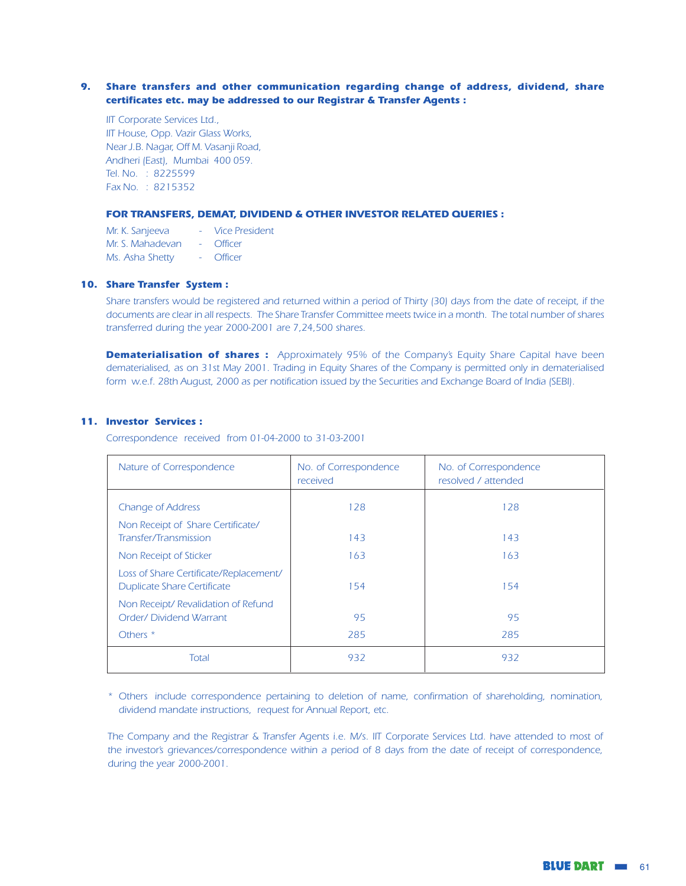#### 9. Share transfers and other communication regarding change of address, dividend, share certificates etc. may be addressed to our Registrar & Transfer Agents :

IIT Corporate Services Ltd., IIT House, Opp. Vazir Glass Works, Near J.B. Nagar, Off M. Vasanji Road, Andheri (East), Mumbai 400 059. Tel. No. : 8225599 Fax No. : 8215352

#### FOR TRANSFERS, DEMAT, DIVIDEND & OTHER INVESTOR RELATED QUERIES :

| Mr. K. Sanjeeva  |                    | Vice President |
|------------------|--------------------|----------------|
| Mr. S. Mahadevan |                    | - Officer      |
| Ms. Asha Shetty  | $\Delta \sim 10^4$ | Officer        |

#### 10. Share Transfer System:

Share transfers would be registered and returned within a period of Thirty (30) days from the date of receipt, if the documents are clear in all respects. The Share Transfer Committee meets twice in a month. The total number of shares transferred during the year 2000-2001 are 7,24,500 shares.

**Dematerialisation of shares :** Approximately 95% of the Company's Equity Share Capital have been dematerialised, as on 31st May 2001. Trading in Equity Shares of the Company is permitted only in dematerialised form w.e.f. 28th August, 2000 as per notification issued by the Securities and Exchange Board of India (SEBI).

#### 11. Investor Services :

Correspondence received from 01-04-2000 to 31-03-2001

| Nature of Correspondence                                                     | No. of Correspondence<br>received | No. of Correspondence<br>resolved / attended |
|------------------------------------------------------------------------------|-----------------------------------|----------------------------------------------|
| <b>Change of Address</b>                                                     | 128                               | 128                                          |
| Non Receipt of Share Certificate/<br>Transfer/Transmission                   | 143                               | 143                                          |
| Non Receipt of Sticker                                                       | 163                               | 163                                          |
| Loss of Share Certificate/Replacement/<br><b>Duplicate Share Certificate</b> | 154                               | 154                                          |
| Non Receipt/ Revalidation of Refund<br>Order/ Dividend Warrant               | 95                                | 95                                           |
| Others <sup>*</sup>                                                          | 285                               | 285                                          |
| Total                                                                        | 932                               | 932                                          |

\* Others include correspondence pertaining to deletion of name, confirmation of shareholding, nomination, dividend mandate instructions, request for Annual Report, etc.

The Company and the Registrar & Transfer Agents i.e. M/s. IIT Corporate Services Ltd. have attended to most of the investor's grievances/correspondence within a period of 8 days from the date of receipt of correspondence, during the year 2000-2001.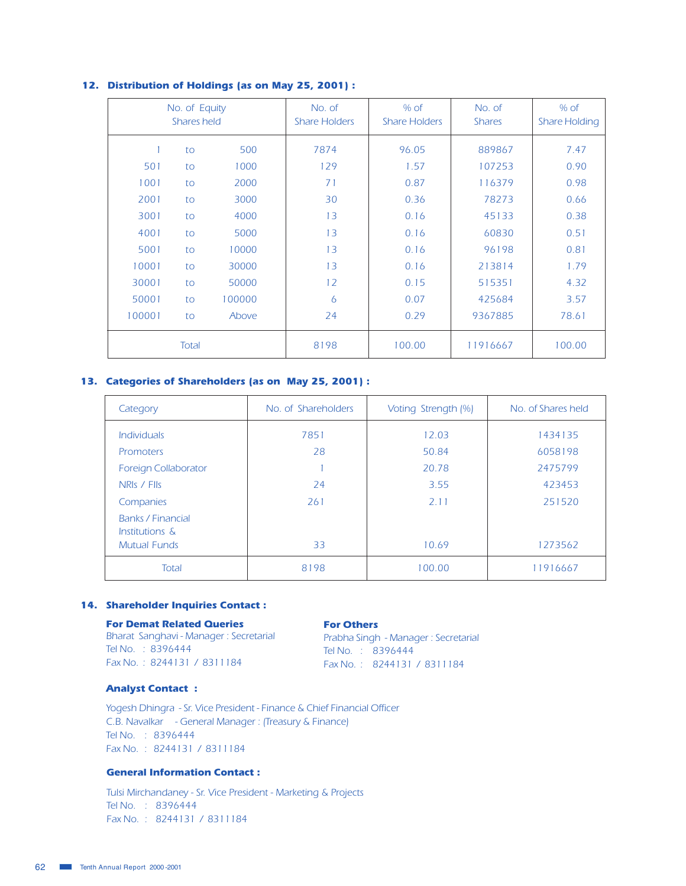|        | No. of Equity<br>Shares held |        | No. of<br><b>Share Holders</b> | $%$ of<br><b>Share Holders</b> | No. of<br><b>Shares</b> | $%$ of<br><b>Share Holding</b> |
|--------|------------------------------|--------|--------------------------------|--------------------------------|-------------------------|--------------------------------|
|        | to                           | 500    | 7874                           | 96.05                          | 889867                  | 7.47                           |
| 501    | to                           | 1000   | 129                            | 1.57                           | 107253                  | 0.90                           |
| 1001   | to                           | 2000   | 71                             | 0.87                           | 116379                  | 0.98                           |
| 2001   | to                           | 3000   | 30                             | 0.36                           | 78273                   | 0.66                           |
| 3001   | to                           | 4000   | 13                             | 0.16                           | 45133                   | 0.38                           |
| 4001   | to                           | 5000   | 13                             | 0.16                           | 60830                   | 0.51                           |
| 5001   | to                           | 10000  | 13                             | 0.16                           | 96198                   | 0.81                           |
| 10001  | to                           | 30000  | 13                             | 0.16                           | 213814                  | 1.79                           |
| 30001  | to                           | 50000  | 12                             | 0.15                           | 515351                  | 4.32                           |
| 50001  | to                           | 100000 | $\overline{6}$                 | 0.07                           | 425684                  | 3.57                           |
| 100001 | to                           | Above  | 24                             | 0.29                           | 9367885                 | 78.61                          |
|        | Total                        |        | 8198                           | 100.00                         | 11916667                | 100.00                         |

#### 12. Distribution of Holdings (as on May 25, 2001) :

#### 13. Categories of Shareholders (as on May 25, 2001) :

| Category                            | No. of Shareholders | Voting Strength (%) | No. of Shares held |
|-------------------------------------|---------------------|---------------------|--------------------|
| <b>Individuals</b>                  | 7851                | 12.03               | 1434135            |
| <b>Promoters</b>                    | 28                  | 50.84               | 6058198            |
| <b>Foreign Collaborator</b>         |                     | 20.78               | 2475799            |
| NRIS / FIIS                         | 24                  | 3.55                | 423453             |
| Companies                           | 261                 | 2.11                | 251520             |
| Banks / Financial<br>Institutions & |                     |                     |                    |
| <b>Mutual Funds</b>                 | 33                  | 10.69               | 1273562            |
| Total                               | 8198                | 100.00              | 11916667           |

#### 14. Shareholder Inquiries Contact :

## **For Demat Related Queries**

#### **For Others**

**Por Deniat Netated Cueries**<br>
Bharat Sanghavi - Manager : Secretarial<br>
Tel No. : 8396444<br>
Tel No. : 8396444<br>
Tel No. : 8396444 Tel No. : 8396444 Fax No.: 8244131 / 8311184

Tel No. : 8396444 Fax No.: 8244131 / 8311184

#### **Analyst Contact:**

Yogesh Dhingra - Sr. Vice President - Finance & Chief Financial Officer C.B. Navalkar - General Manager : (Treasury & Finance) Tel No. : 8396444 Fax No. : 8244131 / 8311184

#### **General Information Contact:**

Tulsi Mirchandaney - Sr. Vice President - Marketing & Projects Tel No. : 8396444 Fax No.: 8244131 / 8311184